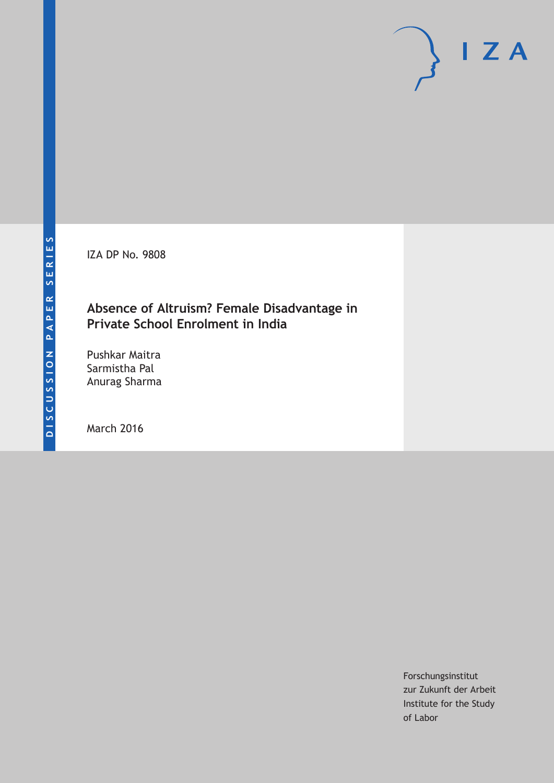IZA DP No. 9808

### **Absence of Altruism? Female Disadvantage in Private School Enrolment in India**

Pushkar Maitra Sarmistha Pal Anurag Sharma

March 2016

Forschungsinstitut zur Zukunft der Arbeit Institute for the Study of Labor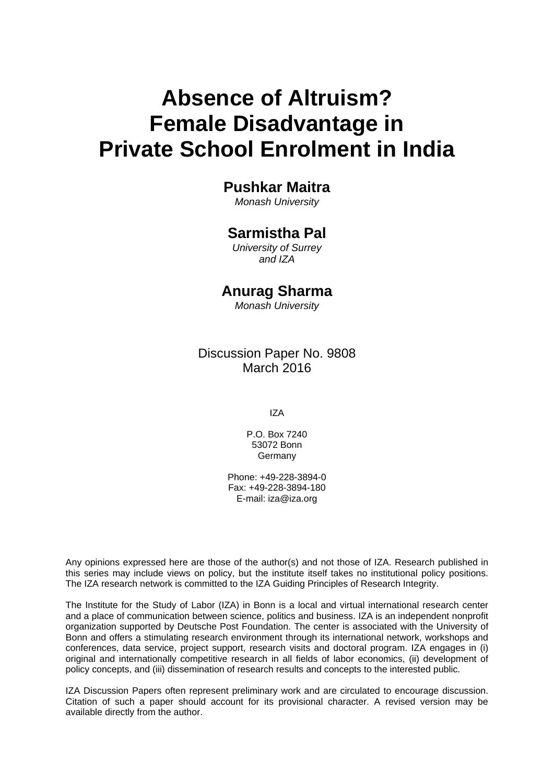# **Absence of Altruism? Female Disadvantage in Private School Enrolment in India**

### **Pushkar Maitra**

*Monash University* 

### **Sarmistha Pal**

*University of Surrey and IZA* 

### **Anurag Sharma**

*Monash University*

Discussion Paper No. 9808 March 2016

IZA

P.O. Box 7240 53072 Bonn Germany

Phone: +49-228-3894-0 Fax: +49-228-3894-180 E-mail: iza@iza.org

Any opinions expressed here are those of the author(s) and not those of IZA. Research published in this series may include views on policy, but the institute itself takes no institutional policy positions. The IZA research network is committed to the IZA Guiding Principles of Research Integrity.

The Institute for the Study of Labor (IZA) in Bonn is a local and virtual international research center and a place of communication between science, politics and business. IZA is an independent nonprofit organization supported by Deutsche Post Foundation. The center is associated with the University of Bonn and offers a stimulating research environment through its international network, workshops and conferences, data service, project support, research visits and doctoral program. IZA engages in (i) original and internationally competitive research in all fields of labor economics, (ii) development of policy concepts, and (iii) dissemination of research results and concepts to the interested public.

IZA Discussion Papers often represent preliminary work and are circulated to encourage discussion. Citation of such a paper should account for its provisional character. A revised version may be available directly from the author.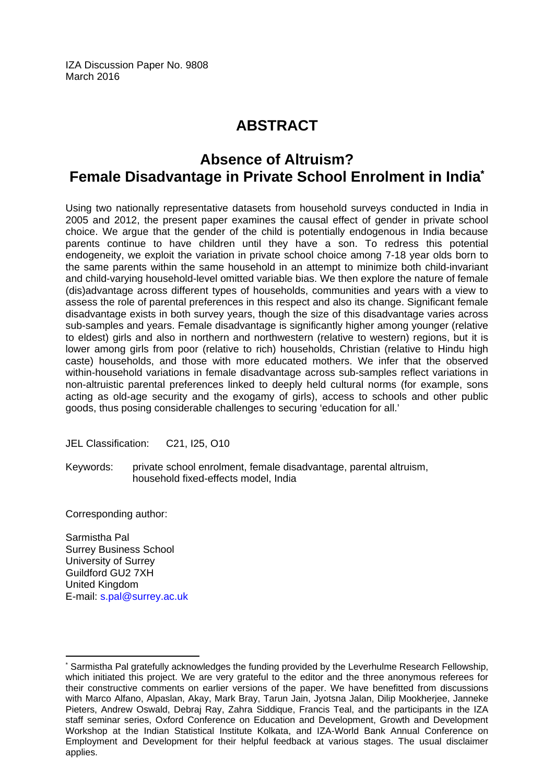IZA Discussion Paper No. 9808 March 2016

# **ABSTRACT**

## **Absence of Altruism? Female Disadvantage in Private School Enrolment in India\***

Using two nationally representative datasets from household surveys conducted in India in 2005 and 2012, the present paper examines the causal effect of gender in private school choice. We argue that the gender of the child is potentially endogenous in India because parents continue to have children until they have a son. To redress this potential endogeneity, we exploit the variation in private school choice among 7-18 year olds born to the same parents within the same household in an attempt to minimize both child-invariant and child-varying household-level omitted variable bias. We then explore the nature of female (dis)advantage across different types of households, communities and years with a view to assess the role of parental preferences in this respect and also its change. Significant female disadvantage exists in both survey years, though the size of this disadvantage varies across sub-samples and years. Female disadvantage is significantly higher among younger (relative to eldest) girls and also in northern and northwestern (relative to western) regions, but it is lower among girls from poor (relative to rich) households, Christian (relative to Hindu high caste) households, and those with more educated mothers. We infer that the observed within-household variations in female disadvantage across sub-samples reflect variations in non-altruistic parental preferences linked to deeply held cultural norms (for example, sons acting as old-age security and the exogamy of girls), access to schools and other public goods, thus posing considerable challenges to securing 'education for all.'

JEL Classification: C21, I25, O10

Keywords: private school enrolment, female disadvantage, parental altruism, household fixed-effects model, India

Corresponding author:

Sarmistha Pal Surrey Business School University of Surrey Guildford GU2 7XH United Kingdom E-mail: s.pal@surrey.ac.uk

 $\overline{a}$ 

<sup>\*</sup> Sarmistha Pal gratefully acknowledges the funding provided by the Leverhulme Research Fellowship, which initiated this project. We are very grateful to the editor and the three anonymous referees for their constructive comments on earlier versions of the paper. We have benefitted from discussions with Marco Alfano, Alpaslan, Akay, Mark Bray, Tarun Jain, Jyotsna Jalan, Dilip Mookherjee, Janneke Pieters, Andrew Oswald, Debraj Ray, Zahra Siddique, Francis Teal, and the participants in the IZA staff seminar series, Oxford Conference on Education and Development, Growth and Development Workshop at the Indian Statistical Institute Kolkata, and IZA-World Bank Annual Conference on Employment and Development for their helpful feedback at various stages. The usual disclaimer applies.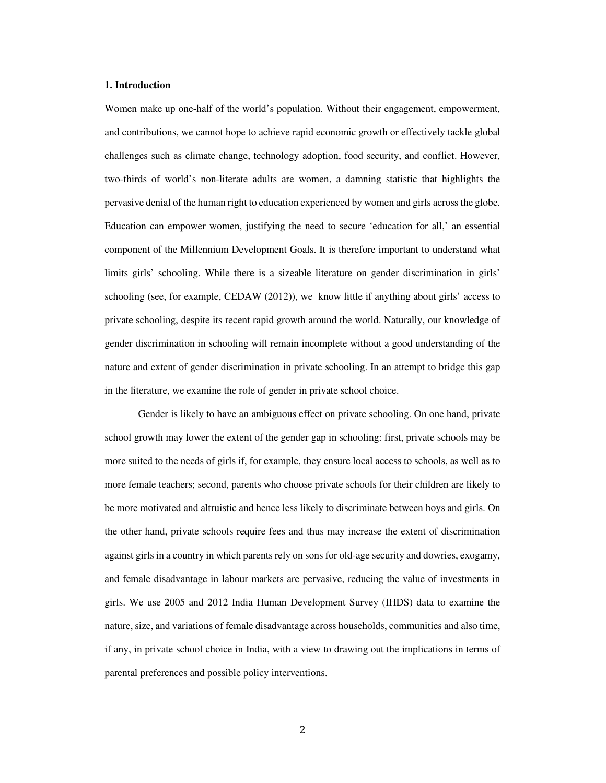#### **1. Introduction**

Women make up one-half of the world's population. Without their engagement, empowerment, and contributions, we cannot hope to achieve rapid economic growth or effectively tackle global challenges such as climate change, technology adoption, food security, and conflict. However, two-thirds of world's non-literate adults are women, a damning statistic that highlights the pervasive denial of the human right to education experienced by women and girls across the globe. Education can empower women, justifying the need to secure 'education for all,' an essential component of the Millennium Development Goals. It is therefore important to understand what limits girls' schooling. While there is a sizeable literature on gender discrimination in girls' schooling (see, for example, CEDAW (2012)), we know little if anything about girls' access to private schooling, despite its recent rapid growth around the world. Naturally, our knowledge of gender discrimination in schooling will remain incomplete without a good understanding of the nature and extent of gender discrimination in private schooling. In an attempt to bridge this gap in the literature, we examine the role of gender in private school choice.

Gender is likely to have an ambiguous effect on private schooling. On one hand, private school growth may lower the extent of the gender gap in schooling: first, private schools may be more suited to the needs of girls if, for example, they ensure local access to schools, as well as to more female teachers; second, parents who choose private schools for their children are likely to be more motivated and altruistic and hence less likely to discriminate between boys and girls. On the other hand, private schools require fees and thus may increase the extent of discrimination against girls in a country in which parents rely on sons for old-age security and dowries, exogamy, and female disadvantage in labour markets are pervasive, reducing the value of investments in girls. We use 2005 and 2012 India Human Development Survey (IHDS) data to examine the nature, size, and variations of female disadvantage across households, communities and also time, if any, in private school choice in India, with a view to drawing out the implications in terms of parental preferences and possible policy interventions.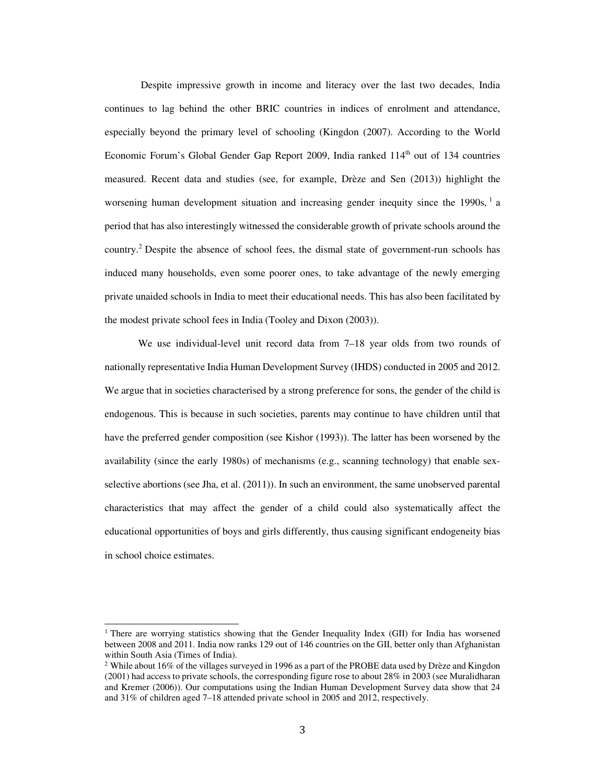Despite impressive growth in income and literacy over the last two decades, India continues to lag behind the other BRIC countries in indices of enrolment and attendance, especially beyond the primary level of schooling (Kingdon (2007). According to the World Economic Forum's Global Gender Gap Report 2009, India ranked  $114<sup>th</sup>$  out of 134 countries measured. Recent data and studies (see, for example, Drèze and Sen (2013)) highlight the worsening human development situation and increasing gender inequity since the  $1990s$ ,  $1a$ period that has also interestingly witnessed the considerable growth of private schools around the country.<sup>2</sup> Despite the absence of school fees, the dismal state of government-run schools has induced many households, even some poorer ones, to take advantage of the newly emerging private unaided schools in India to meet their educational needs. This has also been facilitated by the modest private school fees in India (Tooley and Dixon (2003)).

We use individual-level unit record data from  $7-18$  year olds from two rounds of nationally representative India Human Development Survey (IHDS) conducted in 2005 and 2012. We argue that in societies characterised by a strong preference for sons, the gender of the child is endogenous. This is because in such societies, parents may continue to have children until that have the preferred gender composition (see Kishor (1993)). The latter has been worsened by the availability (since the early 1980s) of mechanisms (e.g., scanning technology) that enable sexselective abortions (see Jha, et al. (2011)). In such an environment, the same unobserved parental characteristics that may affect the gender of a child could also systematically affect the educational opportunities of boys and girls differently, thus causing significant endogeneity bias in school choice estimates.

 $\overline{a}$ 

<sup>&</sup>lt;sup>1</sup> There are worrying statistics showing that the Gender Inequality Index (GII) for India has worsened between 2008 and 2011. India now ranks 129 out of 146 countries on the GII, better only than Afghanistan within South Asia (Times of India).

<sup>&</sup>lt;sup>2</sup> While about 16% of the villages surveyed in 1996 as a part of the PROBE data used by Drèze and Kingdon (2001) had access to private schools, the corresponding figure rose to about 28% in 2003 (see Muralidharan and Kremer (2006)). Our computations using the Indian Human Development Survey data show that 24 and 31% of children aged 7–18 attended private school in 2005 and 2012, respectively.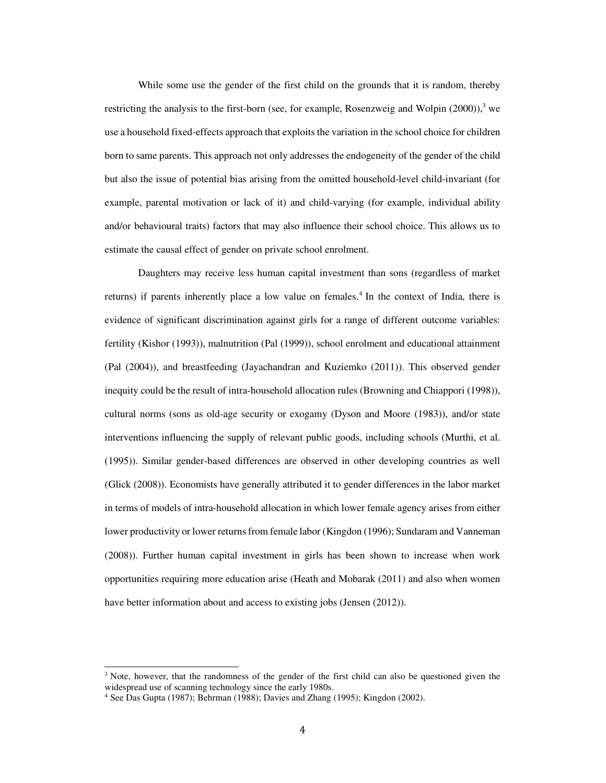While some use the gender of the first child on the grounds that it is random, thereby restricting the analysis to the first-born (see, for example, Rosenzweig and Wolpin  $(2000)$ ),<sup>3</sup> we use a household fixed-effects approach that exploits the variation in the school choice for children born to same parents. This approach not only addresses the endogeneity of the gender of the child but also the issue of potential bias arising from the omitted household-level child-invariant (for example, parental motivation or lack of it) and child-varying (for example, individual ability and/or behavioural traits) factors that may also influence their school choice. This allows us to estimate the causal effect of gender on private school enrolment.

Daughters may receive less human capital investment than sons (regardless of market returns) if parents inherently place a low value on females.<sup>4</sup> In the context of India, there is evidence of significant discrimination against girls for a range of different outcome variables: fertility (Kishor (1993)), malnutrition (Pal (1999)), school enrolment and educational attainment (Pal (2004)), and breastfeeding (Jayachandran and Kuziemko (2011)). This observed gender inequity could be the result of intra-household allocation rules (Browning and Chiappori (1998)), cultural norms (sons as old-age security or exogamy (Dyson and Moore (1983)), and/or state interventions influencing the supply of relevant public goods, including schools (Murthi, et al. (1995)). Similar gender-based differences are observed in other developing countries as well (Glick (2008)). Economists have generally attributed it to gender differences in the labor market in terms of models of intra-household allocation in which lower female agency arises from either lower productivity or lower returns from female labor (Kingdon (1996); Sundaram and Vanneman (2008)). Further human capital investment in girls has been shown to increase when work opportunities requiring more education arise (Heath and Mobarak (2011) and also when women have better information about and access to existing jobs (Jensen (2012)).

<sup>&</sup>lt;sup>3</sup> Note, however, that the randomness of the gender of the first child can also be questioned given the widespread use of scanning technology since the early 1980s.

<sup>&</sup>lt;sup>4</sup> See Das Gupta (1987); Behrman (1988); Davies and Zhang (1995); Kingdon (2002).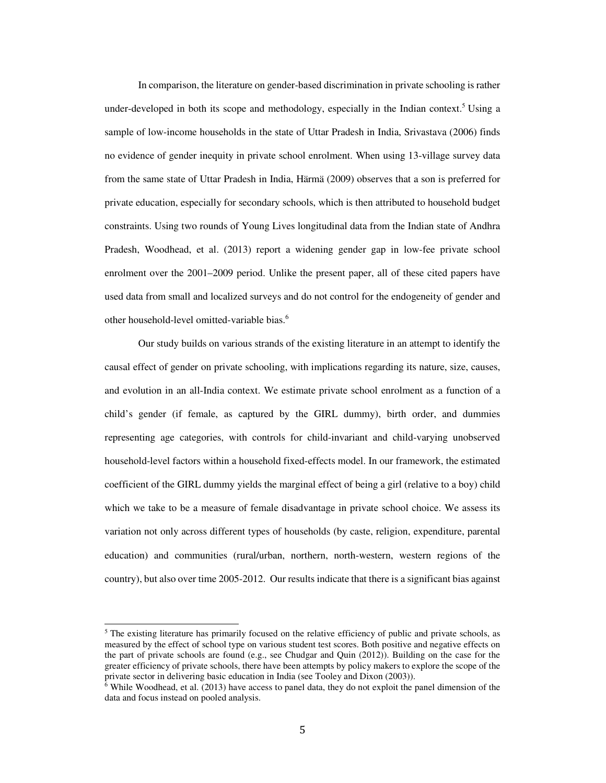In comparison, the literature on gender-based discrimination in private schooling is rather under-developed in both its scope and methodology, especially in the Indian context.<sup>5</sup> Using a sample of low-income households in the state of Uttar Pradesh in India, Srivastava (2006) finds no evidence of gender inequity in private school enrolment. When using 13-village survey data from the same state of Uttar Pradesh in India, Härmä (2009) observes that a son is preferred for private education, especially for secondary schools, which is then attributed to household budget constraints. Using two rounds of Young Lives longitudinal data from the Indian state of Andhra Pradesh, Woodhead, et al. (2013) report a widening gender gap in low-fee private school enrolment over the 2001–2009 period. Unlike the present paper, all of these cited papers have used data from small and localized surveys and do not control for the endogeneity of gender and other household-level omitted-variable bias.<sup>6</sup>

Our study builds on various strands of the existing literature in an attempt to identify the causal effect of gender on private schooling, with implications regarding its nature, size, causes, and evolution in an all-India context. We estimate private school enrolment as a function of a child's gender (if female, as captured by the GIRL dummy), birth order, and dummies representing age categories, with controls for child-invariant and child-varying unobserved household-level factors within a household fixed-effects model. In our framework, the estimated coefficient of the GIRL dummy yields the marginal effect of being a girl (relative to a boy) child which we take to be a measure of female disadvantage in private school choice. We assess its variation not only across different types of households (by caste, religion, expenditure, parental education) and communities (rural/urban, northern, north-western, western regions of the country), but also over time 2005-2012. Our results indicate that there is a significant bias against

 $\overline{a}$ 

<sup>&</sup>lt;sup>5</sup> The existing literature has primarily focused on the relative efficiency of public and private schools, as measured by the effect of school type on various student test scores. Both positive and negative effects on the part of private schools are found (e.g., see Chudgar and Quin (2012)). Building on the case for the greater efficiency of private schools, there have been attempts by policy makers to explore the scope of the private sector in delivering basic education in India (see Tooley and Dixon (2003)).

<sup>&</sup>lt;sup>6</sup> While Woodhead, et al. (2013) have access to panel data, they do not exploit the panel dimension of the data and focus instead on pooled analysis.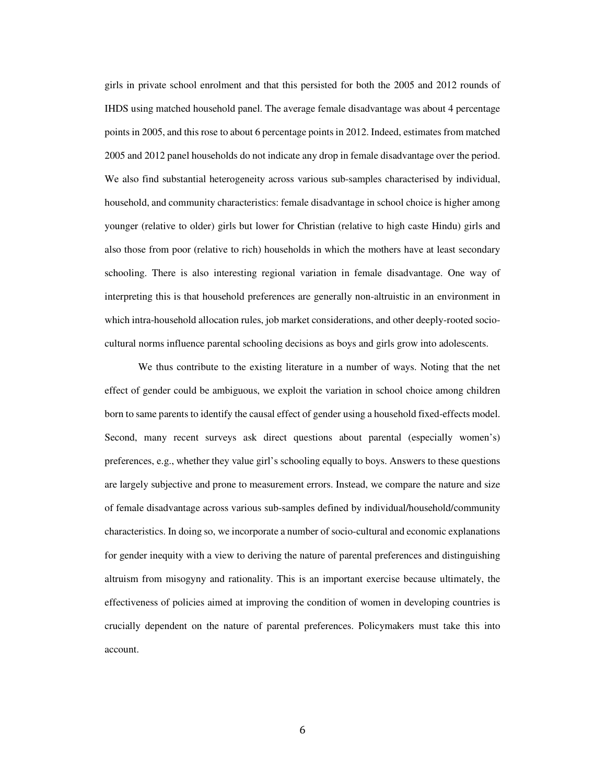girls in private school enrolment and that this persisted for both the 2005 and 2012 rounds of IHDS using matched household panel. The average female disadvantage was about 4 percentage points in 2005, and this rose to about 6 percentage points in 2012. Indeed, estimates from matched 2005 and 2012 panel households do not indicate any drop in female disadvantage over the period. We also find substantial heterogeneity across various sub-samples characterised by individual, household, and community characteristics: female disadvantage in school choice is higher among younger (relative to older) girls but lower for Christian (relative to high caste Hindu) girls and also those from poor (relative to rich) households in which the mothers have at least secondary schooling. There is also interesting regional variation in female disadvantage. One way of interpreting this is that household preferences are generally non-altruistic in an environment in which intra-household allocation rules, job market considerations, and other deeply-rooted sociocultural norms influence parental schooling decisions as boys and girls grow into adolescents.

We thus contribute to the existing literature in a number of ways. Noting that the net effect of gender could be ambiguous, we exploit the variation in school choice among children born to same parents to identify the causal effect of gender using a household fixed-effects model. Second, many recent surveys ask direct questions about parental (especially women's) preferences, e.g., whether they value girl's schooling equally to boys. Answers to these questions are largely subjective and prone to measurement errors. Instead, we compare the nature and size of female disadvantage across various sub-samples defined by individual/household/community characteristics. In doing so, we incorporate a number of socio-cultural and economic explanations for gender inequity with a view to deriving the nature of parental preferences and distinguishing altruism from misogyny and rationality. This is an important exercise because ultimately, the effectiveness of policies aimed at improving the condition of women in developing countries is crucially dependent on the nature of parental preferences. Policymakers must take this into account.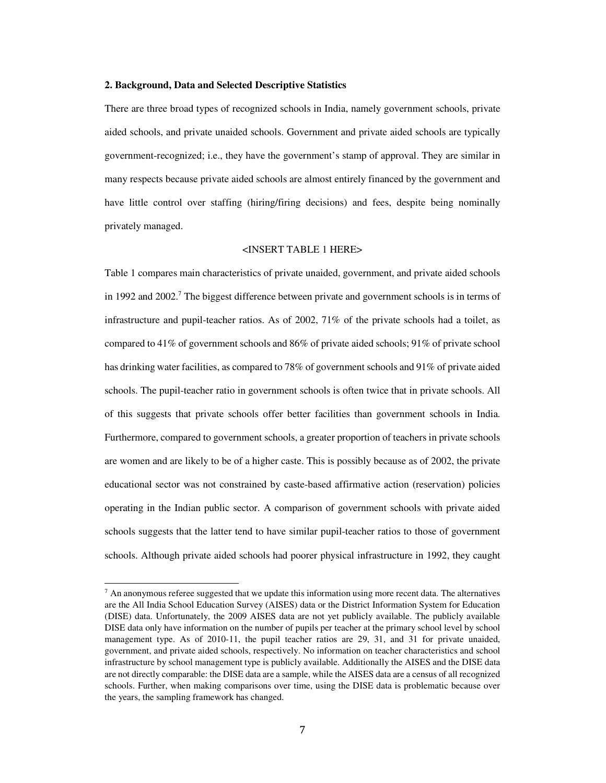#### **2. Background, Data and Selected Descriptive Statistics**

There are three broad types of recognized schools in India, namely government schools, private aided schools, and private unaided schools. Government and private aided schools are typically government-recognized; i.e., they have the government's stamp of approval. They are similar in many respects because private aided schools are almost entirely financed by the government and have little control over staffing (hiring/firing decisions) and fees, despite being nominally privately managed.

#### <INSERT TABLE 1 HERE>

Table 1 compares main characteristics of private unaided, government, and private aided schools in 1992 and 2002.<sup>7</sup> The biggest difference between private and government schools is in terms of infrastructure and pupil-teacher ratios. As of 2002, 71% of the private schools had a toilet, as compared to 41% of government schools and 86% of private aided schools; 91% of private school has drinking water facilities, as compared to 78% of government schools and 91% of private aided schools. The pupil-teacher ratio in government schools is often twice that in private schools. All of this suggests that private schools offer better facilities than government schools in India. Furthermore, compared to government schools, a greater proportion of teachers in private schools are women and are likely to be of a higher caste. This is possibly because as of 2002, the private educational sector was not constrained by caste-based affirmative action (reservation) policies operating in the Indian public sector. A comparison of government schools with private aided schools suggests that the latter tend to have similar pupil-teacher ratios to those of government schools. Although private aided schools had poorer physical infrastructure in 1992, they caught

 $\overline{a}$ 

 $7$  An anonymous referee suggested that we update this information using more recent data. The alternatives are the All India School Education Survey (AISES) data or the District Information System for Education (DISE) data. Unfortunately, the 2009 AISES data are not yet publicly available. The publicly available DISE data only have information on the number of pupils per teacher at the primary school level by school management type. As of 2010-11, the pupil teacher ratios are 29, 31, and 31 for private unaided, government, and private aided schools, respectively. No information on teacher characteristics and school infrastructure by school management type is publicly available. Additionally the AISES and the DISE data are not directly comparable: the DISE data are a sample, while the AISES data are a census of all recognized schools. Further, when making comparisons over time, using the DISE data is problematic because over the years, the sampling framework has changed.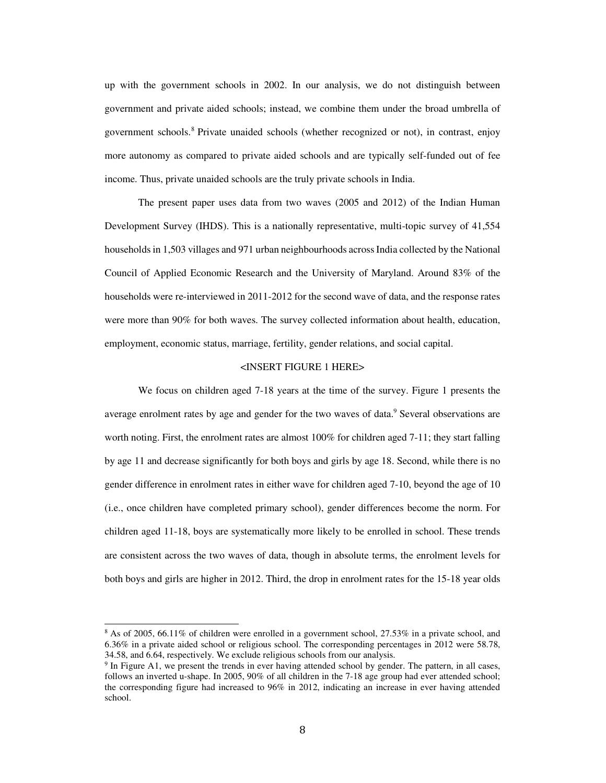up with the government schools in 2002. In our analysis, we do not distinguish between government and private aided schools; instead, we combine them under the broad umbrella of government schools.<sup>8</sup> Private unaided schools (whether recognized or not), in contrast, enjoy more autonomy as compared to private aided schools and are typically self-funded out of fee income. Thus, private unaided schools are the truly private schools in India.

The present paper uses data from two waves (2005 and 2012) of the Indian Human Development Survey (IHDS). This is a nationally representative, multi-topic survey of 41,554 households in 1,503 villages and 971 urban neighbourhoods across India collected by the National Council of Applied Economic Research and the University of Maryland. Around 83% of the households were re-interviewed in 2011-2012 for the second wave of data, and the response rates were more than 90% for both waves. The survey collected information about health, education, employment, economic status, marriage, fertility, gender relations, and social capital.

#### <INSERT FIGURE 1 HERE>

We focus on children aged 7-18 years at the time of the survey. Figure 1 presents the average enrolment rates by age and gender for the two waves of data.<sup>9</sup> Several observations are worth noting. First, the enrolment rates are almost 100% for children aged 7-11; they start falling by age 11 and decrease significantly for both boys and girls by age 18. Second, while there is no gender difference in enrolment rates in either wave for children aged 7-10, beyond the age of 10 (i.e., once children have completed primary school), gender differences become the norm. For children aged 11-18, boys are systematically more likely to be enrolled in school. These trends are consistent across the two waves of data, though in absolute terms, the enrolment levels for both boys and girls are higher in 2012. Third, the drop in enrolment rates for the 15-18 year olds

 $\overline{a}$ 

<sup>8</sup> As of 2005, 66.11% of children were enrolled in a government school, 27.53% in a private school, and 6.36% in a private aided school or religious school. The corresponding percentages in 2012 were 58.78, 34.58, and 6.64, respectively. We exclude religious schools from our analysis.

<sup>&</sup>lt;sup>9</sup> In Figure A1, we present the trends in ever having attended school by gender. The pattern, in all cases, follows an inverted u-shape. In 2005, 90% of all children in the 7-18 age group had ever attended school; the corresponding figure had increased to 96% in 2012, indicating an increase in ever having attended school.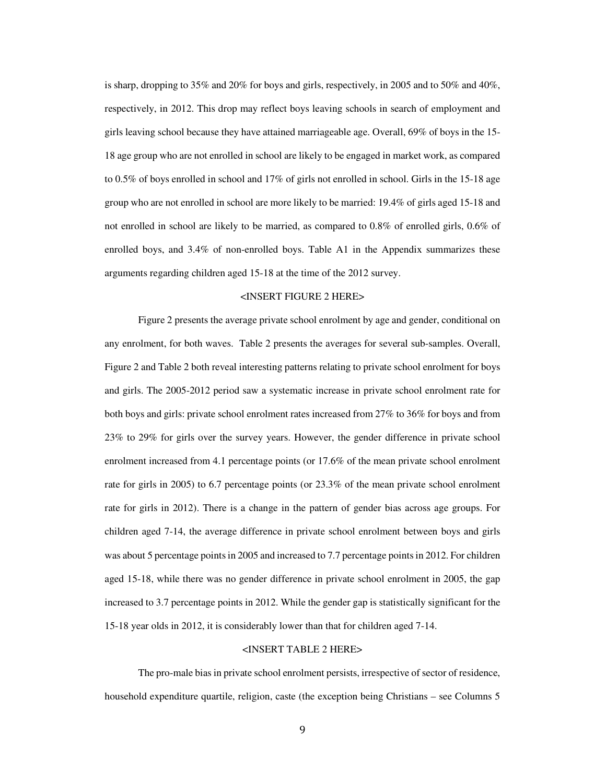is sharp, dropping to 35% and 20% for boys and girls, respectively, in 2005 and to 50% and 40%, respectively, in 2012. This drop may reflect boys leaving schools in search of employment and girls leaving school because they have attained marriageable age. Overall, 69% of boys in the 15- 18 age group who are not enrolled in school are likely to be engaged in market work, as compared to 0.5% of boys enrolled in school and 17% of girls not enrolled in school. Girls in the 15-18 age group who are not enrolled in school are more likely to be married: 19.4% of girls aged 15-18 and not enrolled in school are likely to be married, as compared to 0.8% of enrolled girls, 0.6% of enrolled boys, and 3.4% of non-enrolled boys. Table A1 in the Appendix summarizes these arguments regarding children aged 15-18 at the time of the 2012 survey.

#### <INSERT FIGURE 2 HERE>

Figure 2 presents the average private school enrolment by age and gender, conditional on any enrolment, for both waves. Table 2 presents the averages for several sub-samples. Overall, Figure 2 and Table 2 both reveal interesting patterns relating to private school enrolment for boys and girls. The 2005-2012 period saw a systematic increase in private school enrolment rate for both boys and girls: private school enrolment rates increased from 27% to 36% for boys and from 23% to 29% for girls over the survey years. However, the gender difference in private school enrolment increased from 4.1 percentage points (or 17.6% of the mean private school enrolment rate for girls in 2005) to 6.7 percentage points (or 23.3% of the mean private school enrolment rate for girls in 2012). There is a change in the pattern of gender bias across age groups. For children aged 7-14, the average difference in private school enrolment between boys and girls was about 5 percentage points in 2005 and increased to 7.7 percentage points in 2012. For children aged 15-18, while there was no gender difference in private school enrolment in 2005, the gap increased to 3.7 percentage points in 2012. While the gender gap is statistically significant for the 15-18 year olds in 2012, it is considerably lower than that for children aged 7-14.

#### <INSERT TABLE 2 HERE>

The pro-male bias in private school enrolment persists, irrespective of sector of residence, household expenditure quartile, religion, caste (the exception being Christians – see Columns 5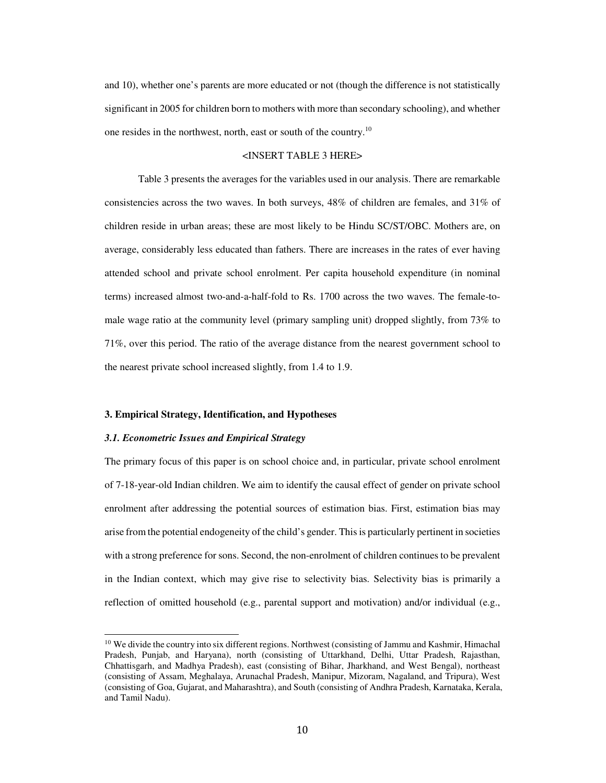and 10), whether one's parents are more educated or not (though the difference is not statistically significant in 2005 for children born to mothers with more than secondary schooling), and whether one resides in the northwest, north, east or south of the country.<sup>10</sup>

#### <INSERT TABLE 3 HERE>

Table 3 presents the averages for the variables used in our analysis. There are remarkable consistencies across the two waves. In both surveys, 48% of children are females, and 31% of children reside in urban areas; these are most likely to be Hindu SC/ST/OBC. Mothers are, on average, considerably less educated than fathers. There are increases in the rates of ever having attended school and private school enrolment. Per capita household expenditure (in nominal terms) increased almost two-and-a-half-fold to Rs. 1700 across the two waves. The female-tomale wage ratio at the community level (primary sampling unit) dropped slightly, from 73% to 71%, over this period. The ratio of the average distance from the nearest government school to the nearest private school increased slightly, from 1.4 to 1.9.

#### **3. Empirical Strategy, Identification, and Hypotheses**

#### *3.1. Econometric Issues and Empirical Strategy*

 $\overline{a}$ 

The primary focus of this paper is on school choice and, in particular, private school enrolment of 7-18-year-old Indian children. We aim to identify the causal effect of gender on private school enrolment after addressing the potential sources of estimation bias. First, estimation bias may arise from the potential endogeneity of the child's gender. This is particularly pertinent in societies with a strong preference for sons. Second, the non-enrolment of children continues to be prevalent in the Indian context, which may give rise to selectivity bias. Selectivity bias is primarily a reflection of omitted household (e.g., parental support and motivation) and/or individual (e.g.,

 $10$  We divide the country into six different regions. Northwest (consisting of Jammu and Kashmir, Himachal Pradesh, Punjab, and Haryana), north (consisting of Uttarkhand, Delhi, Uttar Pradesh, Rajasthan, Chhattisgarh, and Madhya Pradesh), east (consisting of Bihar, Jharkhand, and West Bengal), northeast (consisting of Assam, Meghalaya, Arunachal Pradesh, Manipur, Mizoram, Nagaland, and Tripura), West (consisting of Goa, Gujarat, and Maharashtra), and South (consisting of Andhra Pradesh, Karnataka, Kerala, and Tamil Nadu).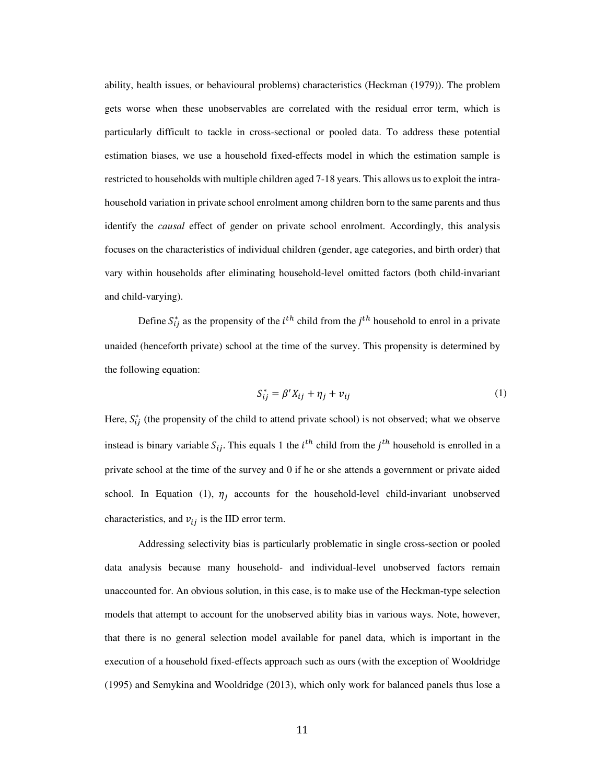ability, health issues, or behavioural problems) characteristics (Heckman (1979)). The problem gets worse when these unobservables are correlated with the residual error term, which is particularly difficult to tackle in cross-sectional or pooled data. To address these potential estimation biases, we use a household fixed-effects model in which the estimation sample is restricted to households with multiple children aged 7-18 years. This allows us to exploit the intrahousehold variation in private school enrolment among children born to the same parents and thus identify the *causal* effect of gender on private school enrolment. Accordingly, this analysis focuses on the characteristics of individual children (gender, age categories, and birth order) that vary within households after eliminating household-level omitted factors (both child-invariant and child-varying).

Define  $S_{ij}^*$  as the propensity of the  $i^{th}$  child from the  $j^{th}$  household to enrol in a private unaided (henceforth private) school at the time of the survey. This propensity is determined by the following equation:

$$
S_{ij}^* = \beta' X_{ij} + \eta_j + \nu_{ij}
$$
 (1)

Here,  $S_{ij}^*$  (the propensity of the child to attend private school) is not observed; what we observe instead is binary variable  $S_{ij}$ . This equals 1 the  $i<sup>th</sup>$  child from the  $j<sup>th</sup>$  household is enrolled in a private school at the time of the survey and 0 if he or she attends a government or private aided school. In Equation (1),  $\eta_j$  accounts for the household-level child-invariant unobserved characteristics, and  $v_{ij}$  is the IID error term.

Addressing selectivity bias is particularly problematic in single cross-section or pooled data analysis because many household- and individual-level unobserved factors remain unaccounted for. An obvious solution, in this case, is to make use of the Heckman-type selection models that attempt to account for the unobserved ability bias in various ways. Note, however, that there is no general selection model available for panel data, which is important in the execution of a household fixed-effects approach such as ours (with the exception of Wooldridge (1995) and Semykina and Wooldridge (2013), which only work for balanced panels thus lose a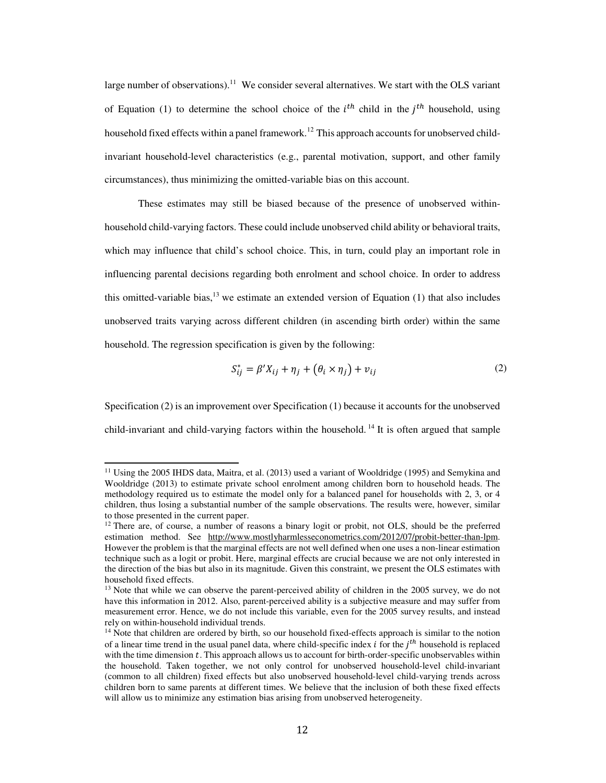large number of observations).<sup>11</sup> We consider several alternatives. We start with the OLS variant of Equation (1) to determine the school choice of the  $i<sup>th</sup>$  child in the  $j<sup>th</sup>$  household, using household fixed effects within a panel framework.<sup>12</sup> This approach accounts for unobserved childinvariant household-level characteristics (e.g., parental motivation, support, and other family circumstances), thus minimizing the omitted-variable bias on this account.

These estimates may still be biased because of the presence of unobserved withinhousehold child-varying factors. These could include unobserved child ability or behavioral traits, which may influence that child's school choice. This, in turn, could play an important role in influencing parental decisions regarding both enrolment and school choice. In order to address this omitted-variable bias, $13$  we estimate an extended version of Equation (1) that also includes unobserved traits varying across different children (in ascending birth order) within the same household. The regression specification is given by the following:

$$
S_{ij}^* = \beta' X_{ij} + \eta_j + (\theta_i \times \eta_j) + \nu_{ij}
$$
 (2)

Specification (2) is an improvement over Specification (1) because it accounts for the unobserved child-invariant and child-varying factors within the household.<sup>14</sup> It is often argued that sample

 $\overline{a}$ 

<sup>&</sup>lt;sup>11</sup> Using the 2005 IHDS data, Maitra, et al. (2013) used a variant of Wooldridge (1995) and Semykina and Wooldridge (2013) to estimate private school enrolment among children born to household heads. The methodology required us to estimate the model only for a balanced panel for households with 2, 3, or 4 children, thus losing a substantial number of the sample observations. The results were, however, similar to those presented in the current paper.

<sup>&</sup>lt;sup>12</sup> There are, of course, a number of reasons a binary logit or probit, not OLS, should be the preferred estimation method. See http://www.mostlyharmlesseconometrics.com/2012/07/probit-better-than-lpm. However the problem is that the marginal effects are not well defined when one uses a non-linear estimation technique such as a logit or probit. Here, marginal effects are crucial because we are not only interested in the direction of the bias but also in its magnitude. Given this constraint, we present the OLS estimates with household fixed effects.

<sup>&</sup>lt;sup>13</sup> Note that while we can observe the parent-perceived ability of children in the 2005 survey, we do not have this information in 2012. Also, parent-perceived ability is a subjective measure and may suffer from measurement error. Hence, we do not include this variable, even for the 2005 survey results, and instead rely on within-household individual trends.

<sup>&</sup>lt;sup>14</sup> Note that children are ordered by birth, so our household fixed-effects approach is similar to the notion of a linear time trend in the usual panel data, where child-specific index  $i$  for the  $j<sup>th</sup>$  household is replaced with the time dimension  $t$ . This approach allows us to account for birth-order-specific unobservables within the household. Taken together, we not only control for unobserved household-level child-invariant (common to all children) fixed effects but also unobserved household-level child-varying trends across children born to same parents at different times. We believe that the inclusion of both these fixed effects will allow us to minimize any estimation bias arising from unobserved heterogeneity.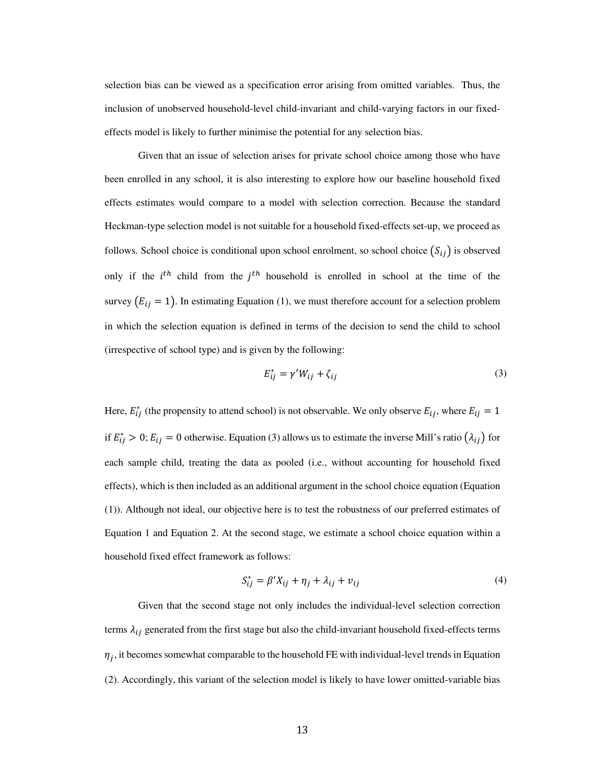selection bias can be viewed as a specification error arising from omitted variables. Thus, the inclusion of unobserved household-level child-invariant and child-varying factors in our fixedeffects model is likely to further minimise the potential for any selection bias.

 Given that an issue of selection arises for private school choice among those who have been enrolled in any school, it is also interesting to explore how our baseline household fixed effects estimates would compare to a model with selection correction. Because the standard Heckman-type selection model is not suitable for a household fixed-effects set-up, we proceed as follows. School choice is conditional upon school enrolment, so school choice  $(S_{ij})$  is observed only if the  $i<sup>th</sup>$  child from the  $j<sup>th</sup>$  household is enrolled in school at the time of the survey  $(E_{ij} = 1)$ . In estimating Equation (1), we must therefore account for a selection problem in which the selection equation is defined in terms of the decision to send the child to school (irrespective of school type) and is given by the following:

$$
E_{ij}^* = \gamma' W_{ij} + \zeta_{ij} \tag{3}
$$

Here,  $E_{ij}^*$  (the propensity to attend school) is not observable. We only observe  $E_{ij}$ , where  $E_{ij} = 1$ if  $E_{ij}^* > 0$ ;  $E_{ij} = 0$  otherwise. Equation (3) allows us to estimate the inverse Mill's ratio  $(\lambda_{ij})$  for each sample child, treating the data as pooled (i.e., without accounting for household fixed effects), which is then included as an additional argument in the school choice equation (Equation (1)). Although not ideal, our objective here is to test the robustness of our preferred estimates of Equation 1 and Equation 2. At the second stage, we estimate a school choice equation within a household fixed effect framework as follows:

$$
S_{ij}^* = \beta' X_{ij} + \eta_j + \lambda_{ij} + v_{ij}
$$
\n<sup>(4)</sup>

Given that the second stage not only includes the individual-level selection correction terms  $\lambda_{ij}$  generated from the first stage but also the child-invariant household fixed-effects terms  $\eta_j$ , it becomes somewhat comparable to the household FE with individual-level trends in Equation (2). Accordingly, this variant of the selection model is likely to have lower omitted-variable bias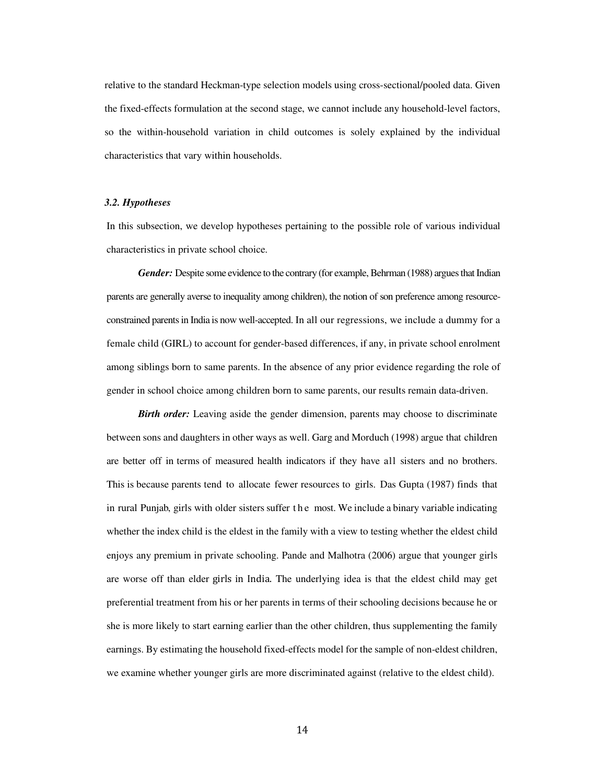relative to the standard Heckman-type selection models using cross-sectional/pooled data. Given the fixed-effects formulation at the second stage, we cannot include any household-level factors, so the within-household variation in child outcomes is solely explained by the individual characteristics that vary within households.

#### *3.2. Hypotheses*

In this subsection, we develop hypotheses pertaining to the possible role of various individual characteristics in private school choice.

*Gender:* Despite some evidence to the contrary (for example, Behrman (1988) argues that Indian parents are generally averse to inequality among children), the notion of son preference among resourceconstrained parents in India is now well-accepted. In all our regressions, we include a dummy for a female child (GIRL) to account for gender-based differences, if any, in private school enrolment among siblings born to same parents. In the absence of any prior evidence regarding the role of gender in school choice among children born to same parents, our results remain data-driven.

*Birth order:* Leaving aside the gender dimension, parents may choose to discriminate between sons and daughters in other ways as well. Garg and Morduch (1998) argue that children are better off in terms of measured health indicators if they have all sisters and no brothers. This is because parents tend to allocate fewer resources to girls. Das Gupta (1987) finds that in rural Punjab, girls with older sisters suffer t h e most. We include a binary variable indicating whether the index child is the eldest in the family with a view to testing whether the eldest child enjoys any premium in private schooling. Pande and Malhotra (2006) argue that younger girls are worse off than elder girls in India. The underlying idea is that the eldest child may get preferential treatment from his or her parents in terms of their schooling decisions because he or she is more likely to start earning earlier than the other children, thus supplementing the family earnings. By estimating the household fixed-effects model for the sample of non-eldest children, we examine whether younger girls are more discriminated against (relative to the eldest child).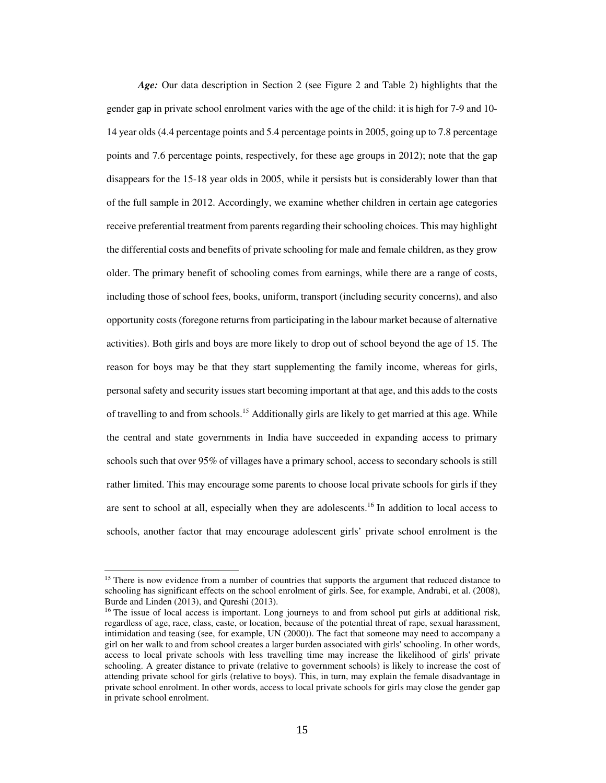*Age:* Our data description in Section 2 (see Figure 2 and Table 2) highlights that the gender gap in private school enrolment varies with the age of the child: it is high for 7-9 and 10- 14 year olds (4.4 percentage points and 5.4 percentage points in 2005, going up to 7.8 percentage points and 7.6 percentage points, respectively, for these age groups in 2012); note that the gap disappears for the 15-18 year olds in 2005, while it persists but is considerably lower than that of the full sample in 2012. Accordingly, we examine whether children in certain age categories receive preferential treatment from parents regarding their schooling choices. This may highlight the differential costs and benefits of private schooling for male and female children, as they grow older. The primary benefit of schooling comes from earnings, while there are a range of costs, including those of school fees, books, uniform, transport (including security concerns), and also opportunity costs (foregone returns from participating in the labour market because of alternative activities). Both girls and boys are more likely to drop out of school beyond the age of 15. The reason for boys may be that they start supplementing the family income, whereas for girls, personal safety and security issues start becoming important at that age, and this adds to the costs of travelling to and from schools.<sup>15</sup> Additionally girls are likely to get married at this age. While the central and state governments in India have succeeded in expanding access to primary schools such that over 95% of villages have a primary school, access to secondary schools is still rather limited. This may encourage some parents to choose local private schools for girls if they are sent to school at all, especially when they are adolescents.<sup>16</sup> In addition to local access to schools, another factor that may encourage adolescent girls' private school enrolment is the

 $\overline{a}$ 

<sup>&</sup>lt;sup>15</sup> There is now evidence from a number of countries that supports the argument that reduced distance to schooling has significant effects on the school enrolment of girls. See, for example, Andrabi, et al. (2008), Burde and Linden (2013), and Qureshi (2013).

<sup>&</sup>lt;sup>16</sup> The issue of local access is important. Long journeys to and from school put girls at additional risk, regardless of age, race, class, caste, or location, because of the potential threat of rape, sexual harassment, intimidation and teasing (see, for example, UN (2000)). The fact that someone may need to accompany a girl on her walk to and from school creates a larger burden associated with girls' schooling. In other words, access to local private schools with less travelling time may increase the likelihood of girls' private schooling. A greater distance to private (relative to government schools) is likely to increase the cost of attending private school for girls (relative to boys). This, in turn, may explain the female disadvantage in private school enrolment. In other words, access to local private schools for girls may close the gender gap in private school enrolment.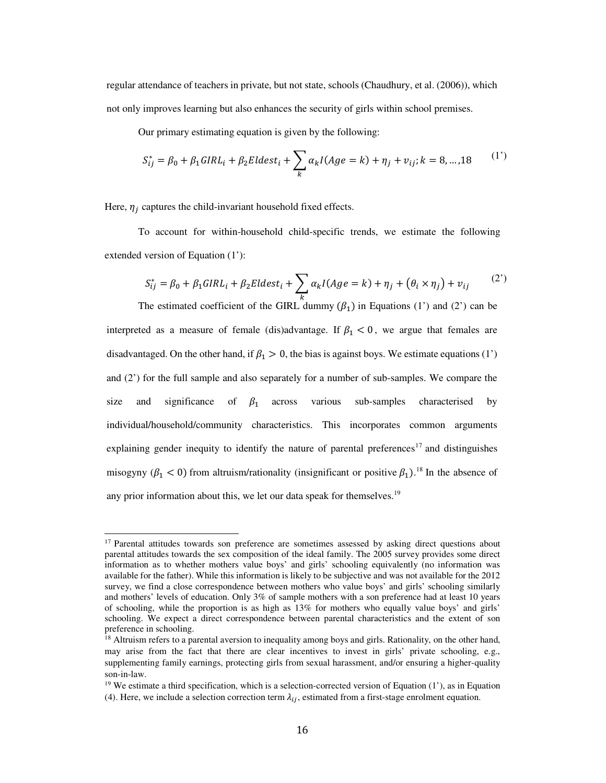regular attendance of teachers in private, but not state, schools (Chaudhury, et al. (2006)), which not only improves learning but also enhances the security of girls within school premises.

Our primary estimating equation is given by the following:

$$
S_{ij}^* = \beta_0 + \beta_1 GIRL_i + \beta_2 Eldest_i + \sum_k \alpha_k I(Age = k) + \eta_j + \nu_{ij}; k = 8, ..., 18
$$
 (1')

Here,  $\eta_j$  captures the child-invariant household fixed effects.

To account for within-household child-specific trends, we estimate the following extended version of Equation (1'):

$$
S_{ij}^* = \beta_0 + \beta_1 GIRL_i + \beta_2 Eldest_i + \sum_k \alpha_k I(Age = k) + \eta_j + (\theta_i \times \eta_j) + \nu_{ij}
$$
 (2')

The estimated coefficient of the GIRL dummy  $(\beta_1)$  in Equations (1') and (2') can be interpreted as a measure of female (dis)advantage. If  $\beta_1 < 0$ , we argue that females are disadvantaged. On the other hand, if  $\beta_1 > 0$ , the bias is against boys. We estimate equations (1') and (2') for the full sample and also separately for a number of sub-samples. We compare the size and significance of  $\beta_1$  across various sub-samples characterised by individual/household/community characteristics. This incorporates common arguments explaining gender inequity to identify the nature of parental preferences<sup>17</sup> and distinguishes misogyny ( $\beta_1$  < 0) from altruism/rationality (insignificant or positive  $\beta_1$ ).<sup>18</sup> In the absence of any prior information about this, we let our data speak for themselves.<sup>19</sup>

 $\overline{a}$  $17$  Parental attitudes towards son preference are sometimes assessed by asking direct questions about parental attitudes towards the sex composition of the ideal family. The 2005 survey provides some direct information as to whether mothers value boys' and girls' schooling equivalently (no information was available for the father). While this information is likely to be subjective and was not available for the 2012 survey, we find a close correspondence between mothers who value boys' and girls' schooling similarly and mothers' levels of education. Only 3% of sample mothers with a son preference had at least 10 years of schooling, while the proportion is as high as 13% for mothers who equally value boys' and girls' schooling. We expect a direct correspondence between parental characteristics and the extent of son preference in schooling.

<sup>&</sup>lt;sup>18</sup> Altruism refers to a parental aversion to inequality among boys and girls. Rationality, on the other hand, may arise from the fact that there are clear incentives to invest in girls' private schooling, e.g., supplementing family earnings, protecting girls from sexual harassment, and/or ensuring a higher-quality son-in-law.

<sup>&</sup>lt;sup>19</sup> We estimate a third specification, which is a selection-corrected version of Equation (1'), as in Equation (4). Here, we include a selection correction term  $\lambda_{ij}$ , estimated from a first-stage enrolment equation.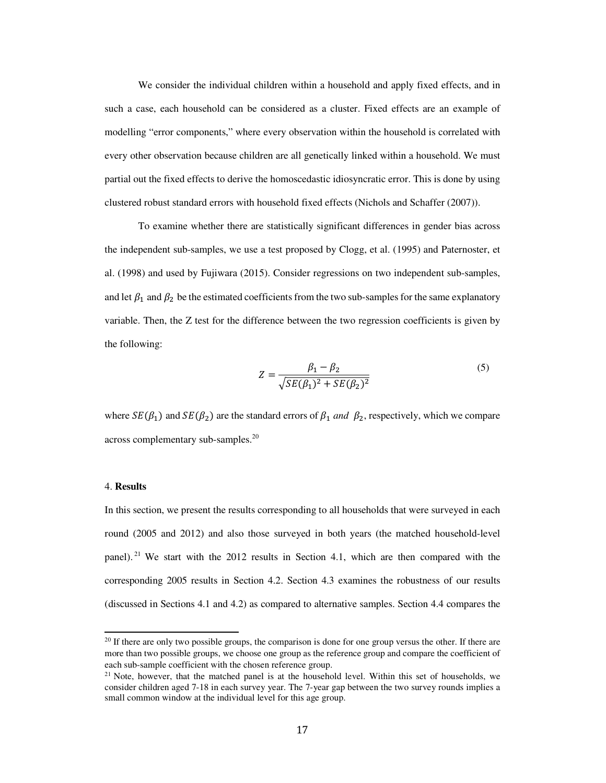We consider the individual children within a household and apply fixed effects, and in such a case, each household can be considered as a cluster. Fixed effects are an example of modelling "error components," where every observation within the household is correlated with every other observation because children are all genetically linked within a household. We must partial out the fixed effects to derive the homoscedastic idiosyncratic error. This is done by using clustered robust standard errors with household fixed effects (Nichols and Schaffer (2007)).

 To examine whether there are statistically significant differences in gender bias across the independent sub-samples, we use a test proposed by Clogg, et al. (1995) and Paternoster, et al. (1998) and used by Fujiwara (2015). Consider regressions on two independent sub-samples, and let  $\beta_1$  and  $\beta_2$  be the estimated coefficients from the two sub-samples for the same explanatory variable. Then, the Z test for the difference between the two regression coefficients is given by the following:

$$
Z = \frac{\beta_1 - \beta_2}{\sqrt{SE(\beta_1)^2 + SE(\beta_2)^2}}
$$
(5)

where  $SE(\beta_1)$  and  $SE(\beta_2)$  are the standard errors of  $\beta_1$  and  $\beta_2$ , respectively, which we compare across complementary sub-samples.<sup>20</sup>

#### 4. **Results**

 $\overline{a}$ 

In this section, we present the results corresponding to all households that were surveyed in each round (2005 and 2012) and also those surveyed in both years (the matched household-level panel). <sup>21</sup> We start with the 2012 results in Section 4.1, which are then compared with the corresponding 2005 results in Section 4.2. Section 4.3 examines the robustness of our results (discussed in Sections 4.1 and 4.2) as compared to alternative samples. Section 4.4 compares the

 $20$  If there are only two possible groups, the comparison is done for one group versus the other. If there are more than two possible groups, we choose one group as the reference group and compare the coefficient of each sub-sample coefficient with the chosen reference group.

 $21$  Note, however, that the matched panel is at the household level. Within this set of households, we consider children aged 7-18 in each survey year. The 7-year gap between the two survey rounds implies a small common window at the individual level for this age group.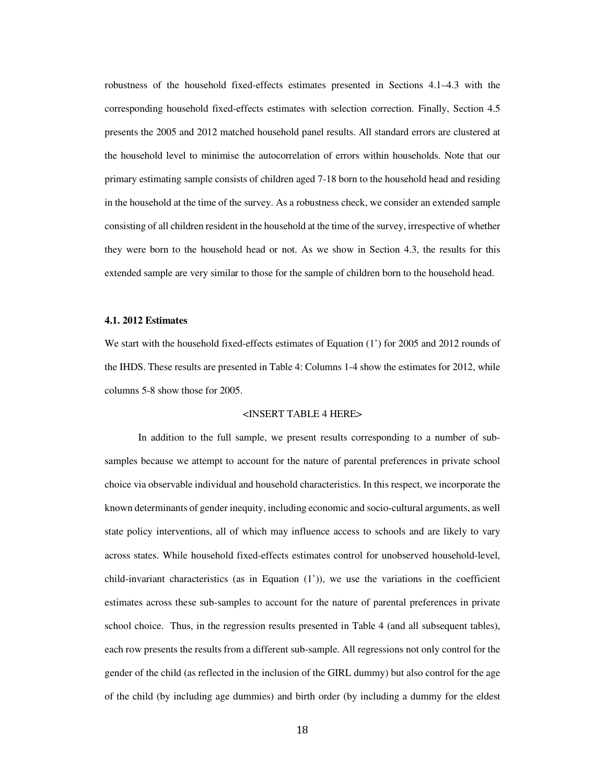robustness of the household fixed-effects estimates presented in Sections 4.1–4.3 with the corresponding household fixed-effects estimates with selection correction. Finally, Section 4.5 presents the 2005 and 2012 matched household panel results. All standard errors are clustered at the household level to minimise the autocorrelation of errors within households. Note that our primary estimating sample consists of children aged 7-18 born to the household head and residing in the household at the time of the survey. As a robustness check, we consider an extended sample consisting of all children resident in the household at the time of the survey, irrespective of whether they were born to the household head or not. As we show in Section 4.3, the results for this extended sample are very similar to those for the sample of children born to the household head.

#### **4.1. 2012 Estimates**

We start with the household fixed-effects estimates of Equation (1') for 2005 and 2012 rounds of the IHDS. These results are presented in Table 4: Columns 1-4 show the estimates for 2012, while columns 5-8 show those for 2005.

#### <INSERT TABLE 4 HERE>

In addition to the full sample, we present results corresponding to a number of subsamples because we attempt to account for the nature of parental preferences in private school choice via observable individual and household characteristics. In this respect, we incorporate the known determinants of gender inequity, including economic and socio-cultural arguments, as well state policy interventions, all of which may influence access to schools and are likely to vary across states. While household fixed-effects estimates control for unobserved household-level, child-invariant characteristics (as in Equation  $(1')$ ), we use the variations in the coefficient estimates across these sub-samples to account for the nature of parental preferences in private school choice. Thus, in the regression results presented in Table 4 (and all subsequent tables), each row presents the results from a different sub-sample. All regressions not only control for the gender of the child (as reflected in the inclusion of the GIRL dummy) but also control for the age of the child (by including age dummies) and birth order (by including a dummy for the eldest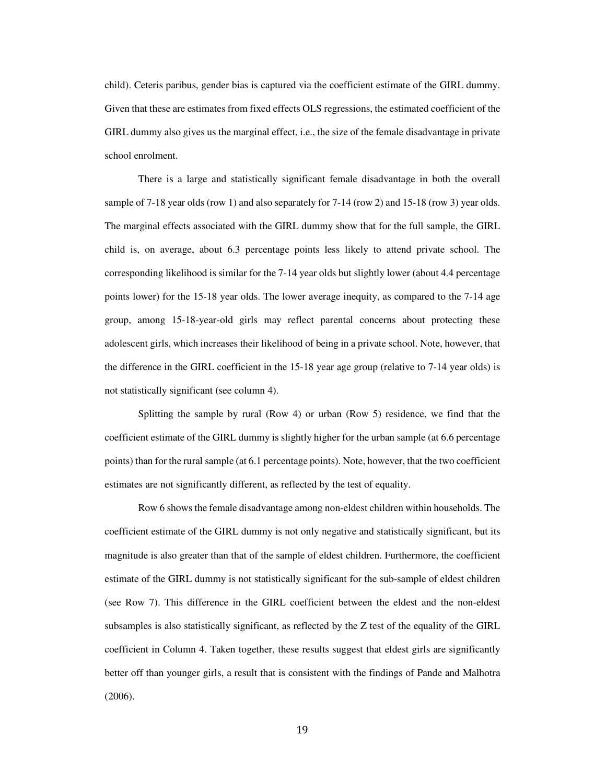child). Ceteris paribus, gender bias is captured via the coefficient estimate of the GIRL dummy. Given that these are estimates from fixed effects OLS regressions, the estimated coefficient of the GIRL dummy also gives us the marginal effect, i.e., the size of the female disadvantage in private school enrolment.

There is a large and statistically significant female disadvantage in both the overall sample of 7-18 year olds (row 1) and also separately for 7-14 (row 2) and 15-18 (row 3) year olds. The marginal effects associated with the GIRL dummy show that for the full sample, the GIRL child is, on average, about 6.3 percentage points less likely to attend private school. The corresponding likelihood is similar for the 7-14 year olds but slightly lower (about 4.4 percentage points lower) for the 15-18 year olds. The lower average inequity, as compared to the 7-14 age group, among 15-18-year-old girls may reflect parental concerns about protecting these adolescent girls, which increases their likelihood of being in a private school. Note, however, that the difference in the GIRL coefficient in the 15-18 year age group (relative to 7-14 year olds) is not statistically significant (see column 4).

Splitting the sample by rural (Row 4) or urban (Row 5) residence, we find that the coefficient estimate of the GIRL dummy is slightly higher for the urban sample (at 6.6 percentage points) than for the rural sample (at 6.1 percentage points). Note, however, that the two coefficient estimates are not significantly different, as reflected by the test of equality.

Row 6 shows the female disadvantage among non-eldest children within households. The coefficient estimate of the GIRL dummy is not only negative and statistically significant, but its magnitude is also greater than that of the sample of eldest children. Furthermore, the coefficient estimate of the GIRL dummy is not statistically significant for the sub-sample of eldest children (see Row 7). This difference in the GIRL coefficient between the eldest and the non-eldest subsamples is also statistically significant, as reflected by the Z test of the equality of the GIRL coefficient in Column 4. Taken together, these results suggest that eldest girls are significantly better off than younger girls, a result that is consistent with the findings of Pande and Malhotra (2006).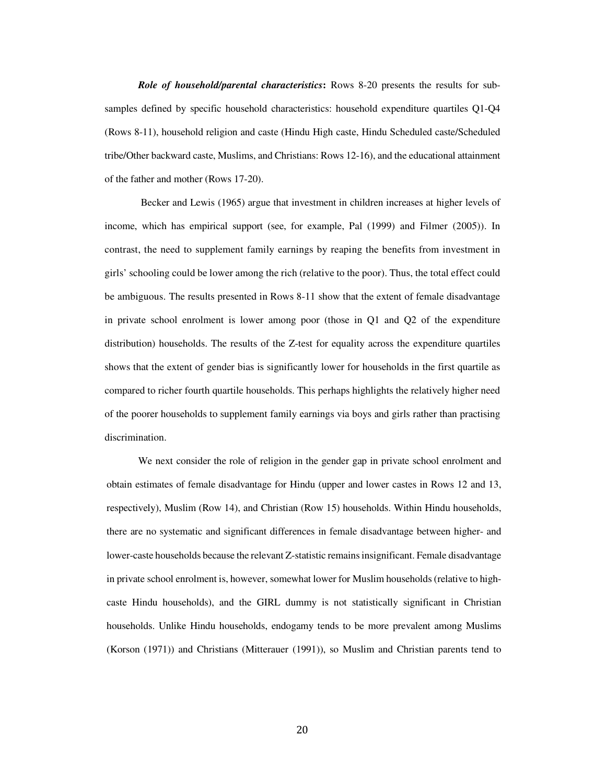*Role of household/parental characteristics***:** Rows 8-20 presents the results for subsamples defined by specific household characteristics: household expenditure quartiles Q1-Q4 (Rows 8-11), household religion and caste (Hindu High caste, Hindu Scheduled caste/Scheduled tribe/Other backward caste, Muslims, and Christians: Rows 12-16), and the educational attainment of the father and mother (Rows 17-20).

 Becker and Lewis (1965) argue that investment in children increases at higher levels of income, which has empirical support (see, for example, Pal (1999) and Filmer (2005)). In contrast, the need to supplement family earnings by reaping the benefits from investment in girls' schooling could be lower among the rich (relative to the poor). Thus, the total effect could be ambiguous. The results presented in Rows 8-11 show that the extent of female disadvantage in private school enrolment is lower among poor (those in Q1 and Q2 of the expenditure distribution) households. The results of the Z-test for equality across the expenditure quartiles shows that the extent of gender bias is significantly lower for households in the first quartile as compared to richer fourth quartile households. This perhaps highlights the relatively higher need of the poorer households to supplement family earnings via boys and girls rather than practising discrimination.

 We next consider the role of religion in the gender gap in private school enrolment and obtain estimates of female disadvantage for Hindu (upper and lower castes in Rows 12 and 13, respectively), Muslim (Row 14), and Christian (Row 15) households. Within Hindu households, there are no systematic and significant differences in female disadvantage between higher- and lower-caste households because the relevant Z-statistic remains insignificant. Female disadvantage in private school enrolment is, however, somewhat lower for Muslim households (relative to highcaste Hindu households), and the GIRL dummy is not statistically significant in Christian households. Unlike Hindu households, endogamy tends to be more prevalent among Muslims (Korson (1971)) and Christians (Mitterauer (1991)), so Muslim and Christian parents tend to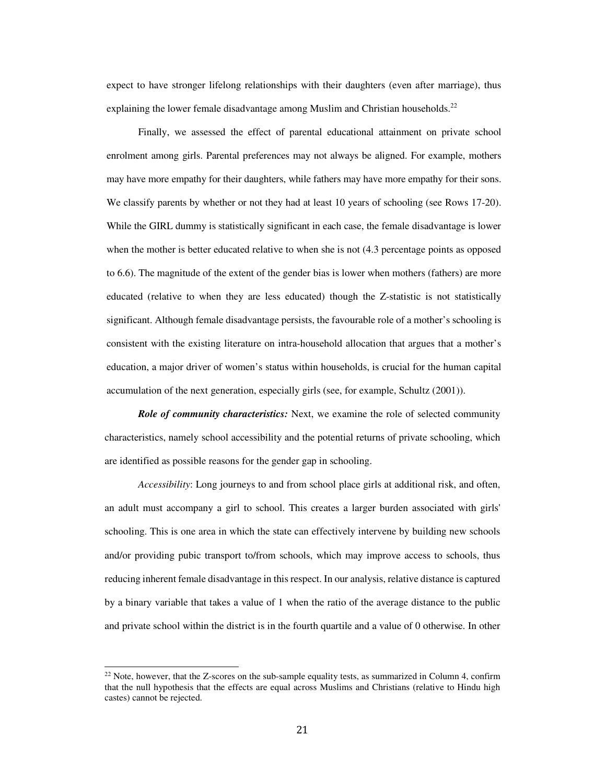expect to have stronger lifelong relationships with their daughters (even after marriage), thus explaining the lower female disadvantage among Muslim and Christian households.<sup>22</sup>

Finally, we assessed the effect of parental educational attainment on private school enrolment among girls. Parental preferences may not always be aligned. For example, mothers may have more empathy for their daughters, while fathers may have more empathy for their sons. We classify parents by whether or not they had at least 10 years of schooling (see Rows 17-20). While the GIRL dummy is statistically significant in each case, the female disadvantage is lower when the mother is better educated relative to when she is not (4.3 percentage points as opposed to 6.6). The magnitude of the extent of the gender bias is lower when mothers (fathers) are more educated (relative to when they are less educated) though the Z-statistic is not statistically significant. Although female disadvantage persists, the favourable role of a mother's schooling is consistent with the existing literature on intra-household allocation that argues that a mother's education, a major driver of women's status within households, is crucial for the human capital accumulation of the next generation, especially girls (see, for example, Schultz (2001)).

*Role of community characteristics:* Next, we examine the role of selected community characteristics, namely school accessibility and the potential returns of private schooling, which are identified as possible reasons for the gender gap in schooling.

*Accessibility*: Long journeys to and from school place girls at additional risk, and often, an adult must accompany a girl to school. This creates a larger burden associated with girls' schooling. This is one area in which the state can effectively intervene by building new schools and/or providing pubic transport to/from schools, which may improve access to schools, thus reducing inherent female disadvantage in this respect. In our analysis, relative distance is captured by a binary variable that takes a value of 1 when the ratio of the average distance to the public and private school within the district is in the fourth quartile and a value of 0 otherwise. In other

 $\overline{a}$ 

 $2<sup>22</sup>$  Note, however, that the Z-scores on the sub-sample equality tests, as summarized in Column 4, confirm that the null hypothesis that the effects are equal across Muslims and Christians (relative to Hindu high castes) cannot be rejected.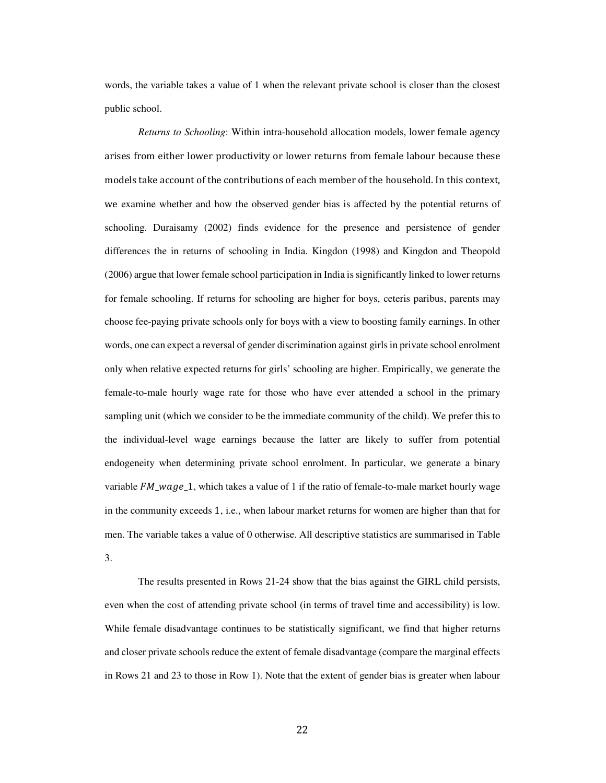words, the variable takes a value of 1 when the relevant private school is closer than the closest public school.

*Returns to Schooling*: Within intra-household allocation models, lower female agency arises from either lower productivity or lower returns from female labour because these models take account of the contributions of each member of the household. In this context, we examine whether and how the observed gender bias is affected by the potential returns of schooling. Duraisamy (2002) finds evidence for the presence and persistence of gender differences the in returns of schooling in India. Kingdon (1998) and Kingdon and Theopold (2006) argue that lower female school participation in India is significantly linked to lower returns for female schooling. If returns for schooling are higher for boys, ceteris paribus, parents may choose fee-paying private schools only for boys with a view to boosting family earnings. In other words, one can expect a reversal of gender discrimination against girls in private school enrolment only when relative expected returns for girls' schooling are higher. Empirically, we generate the female-to-male hourly wage rate for those who have ever attended a school in the primary sampling unit (which we consider to be the immediate community of the child). We prefer this to the individual-level wage earnings because the latter are likely to suffer from potential endogeneity when determining private school enrolment. In particular, we generate a binary variable  $FM\_wage\_1$ , which takes a value of 1 if the ratio of female-to-male market hourly wage in the community exceeds 1, i.e., when labour market returns for women are higher than that for men. The variable takes a value of 0 otherwise. All descriptive statistics are summarised in Table 3.

The results presented in Rows 21-24 show that the bias against the GIRL child persists, even when the cost of attending private school (in terms of travel time and accessibility) is low. While female disadvantage continues to be statistically significant, we find that higher returns and closer private schools reduce the extent of female disadvantage (compare the marginal effects in Rows 21 and 23 to those in Row 1). Note that the extent of gender bias is greater when labour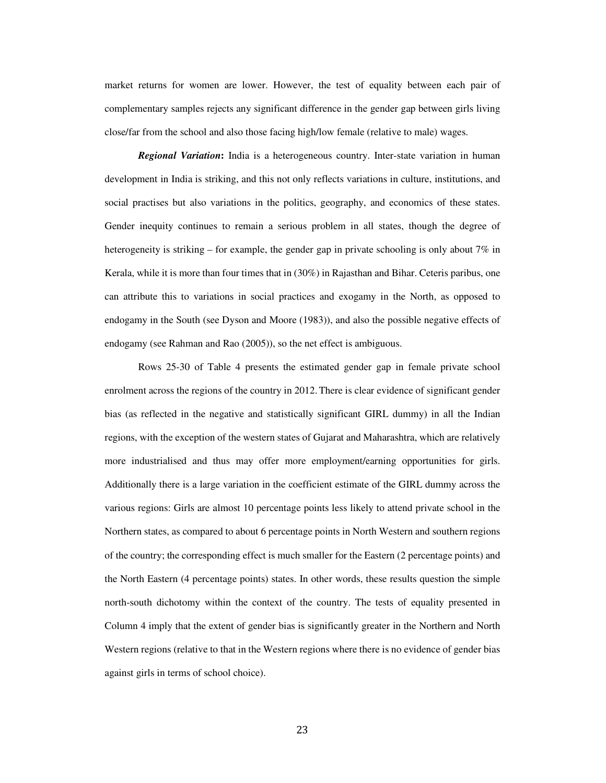market returns for women are lower. However, the test of equality between each pair of complementary samples rejects any significant difference in the gender gap between girls living close/far from the school and also those facing high/low female (relative to male) wages.

*Regional Variation***:** India is a heterogeneous country. Inter-state variation in human development in India is striking, and this not only reflects variations in culture, institutions, and social practises but also variations in the politics, geography, and economics of these states. Gender inequity continues to remain a serious problem in all states, though the degree of heterogeneity is striking – for example, the gender gap in private schooling is only about 7% in Kerala, while it is more than four times that in (30%) in Rajasthan and Bihar. Ceteris paribus, one can attribute this to variations in social practices and exogamy in the North, as opposed to endogamy in the South (see Dyson and Moore (1983)), and also the possible negative effects of endogamy (see Rahman and Rao (2005)), so the net effect is ambiguous.

 Rows 25-30 of Table 4 presents the estimated gender gap in female private school enrolment across the regions of the country in 2012. There is clear evidence of significant gender bias (as reflected in the negative and statistically significant GIRL dummy) in all the Indian regions, with the exception of the western states of Gujarat and Maharashtra, which are relatively more industrialised and thus may offer more employment/earning opportunities for girls. Additionally there is a large variation in the coefficient estimate of the GIRL dummy across the various regions: Girls are almost 10 percentage points less likely to attend private school in the Northern states, as compared to about 6 percentage points in North Western and southern regions of the country; the corresponding effect is much smaller for the Eastern (2 percentage points) and the North Eastern (4 percentage points) states. In other words, these results question the simple north-south dichotomy within the context of the country. The tests of equality presented in Column 4 imply that the extent of gender bias is significantly greater in the Northern and North Western regions (relative to that in the Western regions where there is no evidence of gender bias against girls in terms of school choice).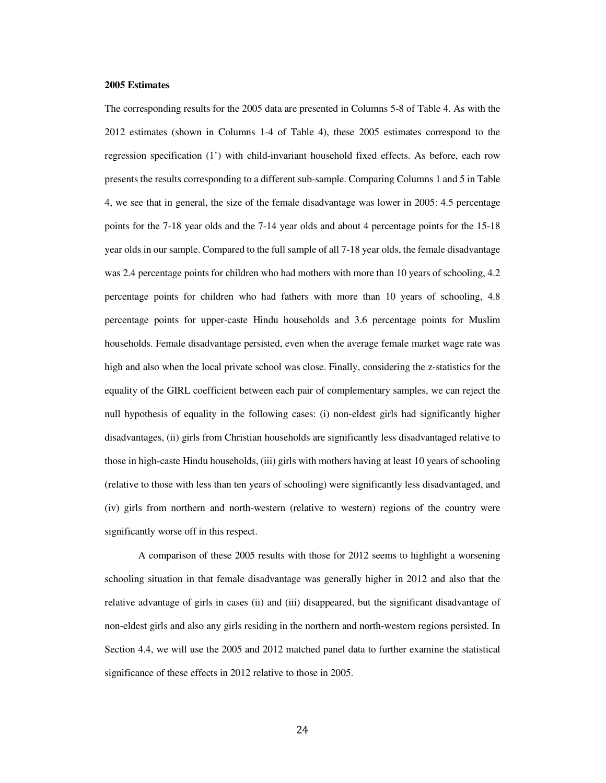#### **2005 Estimates**

The corresponding results for the 2005 data are presented in Columns 5-8 of Table 4. As with the 2012 estimates (shown in Columns 1-4 of Table 4), these 2005 estimates correspond to the regression specification (1') with child-invariant household fixed effects. As before, each row presents the results corresponding to a different sub-sample. Comparing Columns 1 and 5 in Table 4, we see that in general, the size of the female disadvantage was lower in 2005: 4.5 percentage points for the 7-18 year olds and the 7-14 year olds and about 4 percentage points for the 15-18 year olds in our sample. Compared to the full sample of all 7-18 year olds, the female disadvantage was 2.4 percentage points for children who had mothers with more than 10 years of schooling, 4.2 percentage points for children who had fathers with more than 10 years of schooling, 4.8 percentage points for upper-caste Hindu households and 3.6 percentage points for Muslim households. Female disadvantage persisted, even when the average female market wage rate was high and also when the local private school was close. Finally, considering the z-statistics for the equality of the GIRL coefficient between each pair of complementary samples, we can reject the null hypothesis of equality in the following cases: (i) non-eldest girls had significantly higher disadvantages, (ii) girls from Christian households are significantly less disadvantaged relative to those in high-caste Hindu households, (iii) girls with mothers having at least 10 years of schooling (relative to those with less than ten years of schooling) were significantly less disadvantaged, and (iv) girls from northern and north-western (relative to western) regions of the country were significantly worse off in this respect.

 A comparison of these 2005 results with those for 2012 seems to highlight a worsening schooling situation in that female disadvantage was generally higher in 2012 and also that the relative advantage of girls in cases (ii) and (iii) disappeared, but the significant disadvantage of non-eldest girls and also any girls residing in the northern and north-western regions persisted. In Section 4.4, we will use the 2005 and 2012 matched panel data to further examine the statistical significance of these effects in 2012 relative to those in 2005.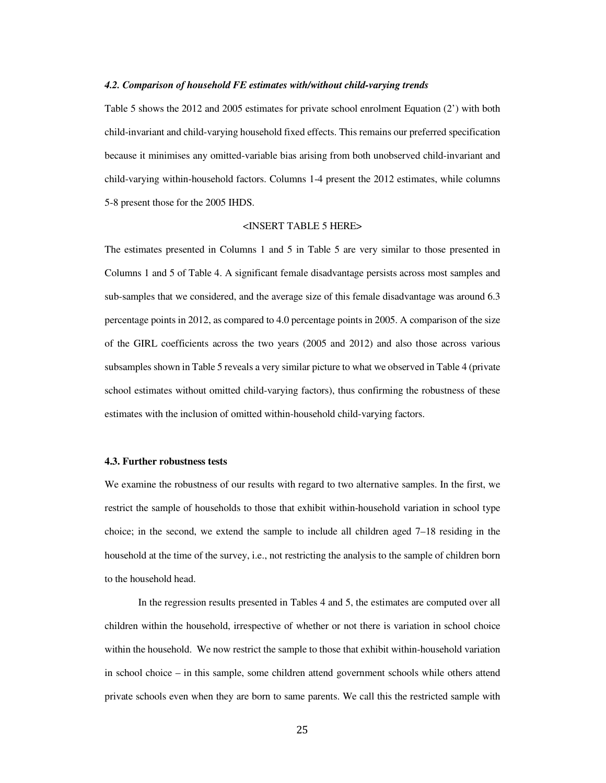#### *4.2. Comparison of household FE estimates with/without child-varying trends*

Table 5 shows the 2012 and 2005 estimates for private school enrolment Equation (2') with both child-invariant and child-varying household fixed effects. This remains our preferred specification because it minimises any omitted-variable bias arising from both unobserved child-invariant and child-varying within-household factors. Columns 1-4 present the 2012 estimates, while columns 5-8 present those for the 2005 IHDS.

#### <INSERT TABLE 5 HERE>

The estimates presented in Columns 1 and 5 in Table 5 are very similar to those presented in Columns 1 and 5 of Table 4. A significant female disadvantage persists across most samples and sub-samples that we considered, and the average size of this female disadvantage was around 6.3 percentage points in 2012, as compared to 4.0 percentage points in 2005. A comparison of the size of the GIRL coefficients across the two years (2005 and 2012) and also those across various subsamples shown in Table 5 reveals a very similar picture to what we observed in Table 4 (private school estimates without omitted child-varying factors), thus confirming the robustness of these estimates with the inclusion of omitted within-household child-varying factors.

#### **4.3. Further robustness tests**

We examine the robustness of our results with regard to two alternative samples. In the first, we restrict the sample of households to those that exhibit within-household variation in school type choice; in the second, we extend the sample to include all children aged 7–18 residing in the household at the time of the survey, i.e., not restricting the analysis to the sample of children born to the household head.

In the regression results presented in Tables 4 and 5, the estimates are computed over all children within the household, irrespective of whether or not there is variation in school choice within the household. We now restrict the sample to those that exhibit within-household variation in school choice – in this sample, some children attend government schools while others attend private schools even when they are born to same parents. We call this the restricted sample with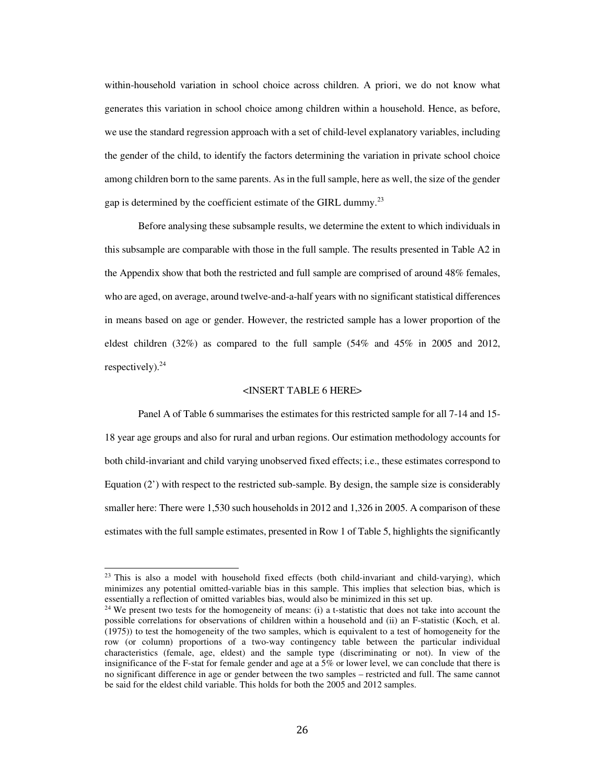within-household variation in school choice across children. A priori, we do not know what generates this variation in school choice among children within a household. Hence, as before, we use the standard regression approach with a set of child-level explanatory variables, including the gender of the child, to identify the factors determining the variation in private school choice among children born to the same parents. As in the full sample, here as well, the size of the gender gap is determined by the coefficient estimate of the GIRL dummy.<sup>23</sup>

 Before analysing these subsample results, we determine the extent to which individuals in this subsample are comparable with those in the full sample. The results presented in Table A2 in the Appendix show that both the restricted and full sample are comprised of around 48% females, who are aged, on average, around twelve-and-a-half years with no significant statistical differences in means based on age or gender. However, the restricted sample has a lower proportion of the eldest children (32%) as compared to the full sample (54% and 45% in 2005 and 2012, respectively). $24$ 

#### <INSERT TABLE 6 HERE>

Panel A of Table 6 summarises the estimates for this restricted sample for all 7-14 and 15- 18 year age groups and also for rural and urban regions. Our estimation methodology accounts for both child-invariant and child varying unobserved fixed effects; i.e., these estimates correspond to Equation (2') with respect to the restricted sub-sample. By design, the sample size is considerably smaller here: There were 1,530 such households in 2012 and 1,326 in 2005. A comparison of these estimates with the full sample estimates, presented in Row 1 of Table 5, highlights the significantly

 $\overline{a}$ 

 $23$  This is also a model with household fixed effects (both child-invariant and child-varying), which minimizes any potential omitted-variable bias in this sample. This implies that selection bias, which is essentially a reflection of omitted variables bias, would also be minimized in this set up.

<sup>&</sup>lt;sup>24</sup> We present two tests for the homogeneity of means: (i) a t-statistic that does not take into account the possible correlations for observations of children within a household and (ii) an F-statistic (Koch, et al. (1975)) to test the homogeneity of the two samples, which is equivalent to a test of homogeneity for the row (or column) proportions of a two-way contingency table between the particular individual characteristics (female, age, eldest) and the sample type (discriminating or not). In view of the insignificance of the F-stat for female gender and age at a  $5\%$  or lower level, we can conclude that there is no significant difference in age or gender between the two samples – restricted and full. The same cannot be said for the eldest child variable. This holds for both the 2005 and 2012 samples.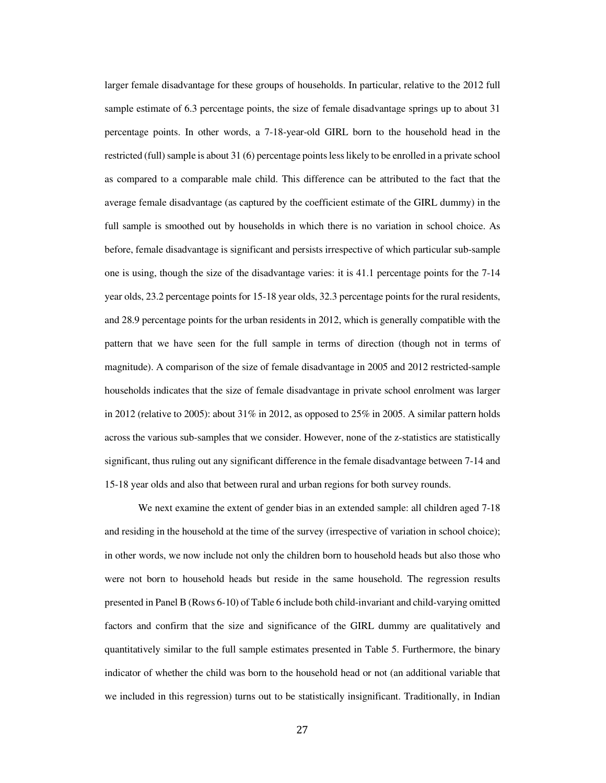larger female disadvantage for these groups of households. In particular, relative to the 2012 full sample estimate of 6.3 percentage points, the size of female disadvantage springs up to about 31 percentage points. In other words, a 7-18-year-old GIRL born to the household head in the restricted (full) sample is about 31 (6) percentage points less likely to be enrolled in a private school as compared to a comparable male child. This difference can be attributed to the fact that the average female disadvantage (as captured by the coefficient estimate of the GIRL dummy) in the full sample is smoothed out by households in which there is no variation in school choice. As before, female disadvantage is significant and persists irrespective of which particular sub-sample one is using, though the size of the disadvantage varies: it is 41.1 percentage points for the 7-14 year olds, 23.2 percentage points for 15-18 year olds, 32.3 percentage points for the rural residents, and 28.9 percentage points for the urban residents in 2012, which is generally compatible with the pattern that we have seen for the full sample in terms of direction (though not in terms of magnitude). A comparison of the size of female disadvantage in 2005 and 2012 restricted-sample households indicates that the size of female disadvantage in private school enrolment was larger in 2012 (relative to 2005): about 31% in 2012, as opposed to  $25\%$  in 2005. A similar pattern holds across the various sub-samples that we consider. However, none of the z-statistics are statistically significant, thus ruling out any significant difference in the female disadvantage between 7-14 and 15-18 year olds and also that between rural and urban regions for both survey rounds.

We next examine the extent of gender bias in an extended sample: all children aged 7-18 and residing in the household at the time of the survey (irrespective of variation in school choice); in other words, we now include not only the children born to household heads but also those who were not born to household heads but reside in the same household. The regression results presented in Panel B (Rows 6-10) of Table 6 include both child-invariant and child-varying omitted factors and confirm that the size and significance of the GIRL dummy are qualitatively and quantitatively similar to the full sample estimates presented in Table 5. Furthermore, the binary indicator of whether the child was born to the household head or not (an additional variable that we included in this regression) turns out to be statistically insignificant. Traditionally, in Indian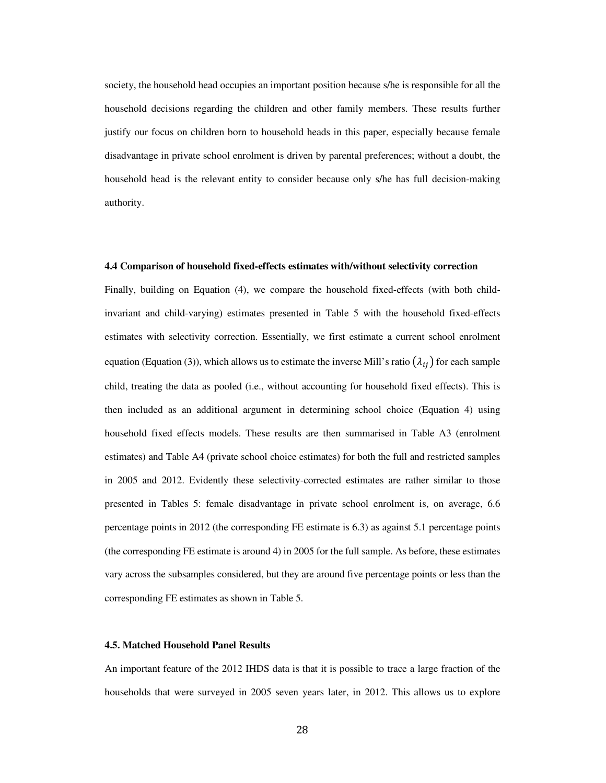society, the household head occupies an important position because s/he is responsible for all the household decisions regarding the children and other family members. These results further justify our focus on children born to household heads in this paper, especially because female disadvantage in private school enrolment is driven by parental preferences; without a doubt, the household head is the relevant entity to consider because only s/he has full decision-making authority.

#### **4.4 Comparison of household fixed-effects estimates with/without selectivity correction**

Finally, building on Equation (4), we compare the household fixed-effects (with both childinvariant and child-varying) estimates presented in Table 5 with the household fixed-effects estimates with selectivity correction. Essentially, we first estimate a current school enrolment equation (Equation (3)), which allows us to estimate the inverse Mill's ratio  $(\lambda_{ij})$  for each sample child, treating the data as pooled (i.e., without accounting for household fixed effects). This is then included as an additional argument in determining school choice (Equation 4) using household fixed effects models. These results are then summarised in Table A3 (enrolment estimates) and Table A4 (private school choice estimates) for both the full and restricted samples in 2005 and 2012. Evidently these selectivity-corrected estimates are rather similar to those presented in Tables 5: female disadvantage in private school enrolment is, on average, 6.6 percentage points in 2012 (the corresponding FE estimate is 6.3) as against 5.1 percentage points (the corresponding FE estimate is around 4) in 2005 for the full sample. As before, these estimates vary across the subsamples considered, but they are around five percentage points or less than the corresponding FE estimates as shown in Table 5.

#### **4.5. Matched Household Panel Results**

An important feature of the 2012 IHDS data is that it is possible to trace a large fraction of the households that were surveyed in 2005 seven years later, in 2012. This allows us to explore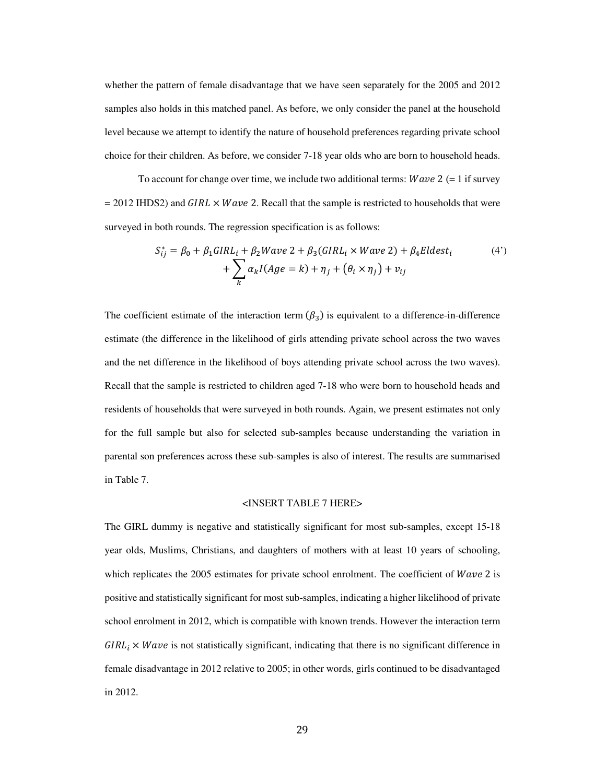whether the pattern of female disadvantage that we have seen separately for the 2005 and 2012 samples also holds in this matched panel. As before, we only consider the panel at the household level because we attempt to identify the nature of household preferences regarding private school choice for their children. As before, we consider 7-18 year olds who are born to household heads.

To account for change over time, we include two additional terms: Wave  $2 (= 1$  if survey  $= 2012$  IHDS2) and  $GIRL \times Wave$  2. Recall that the sample is restricted to households that were surveyed in both rounds. The regression specification is as follows:

$$
S_{ij}^* = \beta_0 + \beta_1 GIRL_i + \beta_2 Wave \ 2 + \beta_3 (GIRL_i \times Wave \ 2) + \beta_4 Eldest_i
$$
  
+ 
$$
\sum_k \alpha_k I(Age = k) + \eta_j + (\theta_i \times \eta_j) + v_{ij}
$$
 (4')

The coefficient estimate of the interaction term  $(\beta_3)$  is equivalent to a difference-in-difference estimate (the difference in the likelihood of girls attending private school across the two waves and the net difference in the likelihood of boys attending private school across the two waves). Recall that the sample is restricted to children aged 7-18 who were born to household heads and residents of households that were surveyed in both rounds. Again, we present estimates not only for the full sample but also for selected sub-samples because understanding the variation in parental son preferences across these sub-samples is also of interest. The results are summarised in Table 7.

#### <INSERT TABLE 7 HERE>

The GIRL dummy is negative and statistically significant for most sub-samples, except 15-18 year olds, Muslims, Christians, and daughters of mothers with at least 10 years of schooling, which replicates the 2005 estimates for private school enrolment. The coefficient of  $Wave$  2 is positive and statistically significant for most sub-samples, indicating a higher likelihood of private school enrolment in 2012, which is compatible with known trends. However the interaction term  $GIRL_i \times Wave$  is not statistically significant, indicating that there is no significant difference in female disadvantage in 2012 relative to 2005; in other words, girls continued to be disadvantaged in 2012.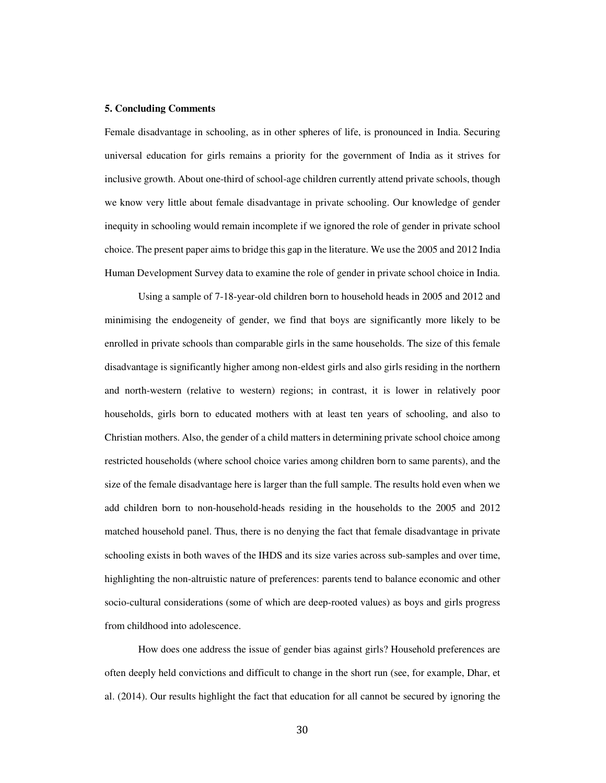#### **5. Concluding Comments**

Female disadvantage in schooling, as in other spheres of life, is pronounced in India. Securing universal education for girls remains a priority for the government of India as it strives for inclusive growth. About one-third of school-age children currently attend private schools, though we know very little about female disadvantage in private schooling. Our knowledge of gender inequity in schooling would remain incomplete if we ignored the role of gender in private school choice. The present paper aims to bridge this gap in the literature. We use the 2005 and 2012 India Human Development Survey data to examine the role of gender in private school choice in India.

Using a sample of 7-18-year-old children born to household heads in 2005 and 2012 and minimising the endogeneity of gender, we find that boys are significantly more likely to be enrolled in private schools than comparable girls in the same households. The size of this female disadvantage is significantly higher among non-eldest girls and also girls residing in the northern and north-western (relative to western) regions; in contrast, it is lower in relatively poor households, girls born to educated mothers with at least ten years of schooling, and also to Christian mothers. Also, the gender of a child matters in determining private school choice among restricted households (where school choice varies among children born to same parents), and the size of the female disadvantage here is larger than the full sample. The results hold even when we add children born to non-household-heads residing in the households to the 2005 and 2012 matched household panel. Thus, there is no denying the fact that female disadvantage in private schooling exists in both waves of the IHDS and its size varies across sub-samples and over time, highlighting the non-altruistic nature of preferences: parents tend to balance economic and other socio-cultural considerations (some of which are deep-rooted values) as boys and girls progress from childhood into adolescence.

How does one address the issue of gender bias against girls? Household preferences are often deeply held convictions and difficult to change in the short run (see, for example, Dhar, et al. (2014). Our results highlight the fact that education for all cannot be secured by ignoring the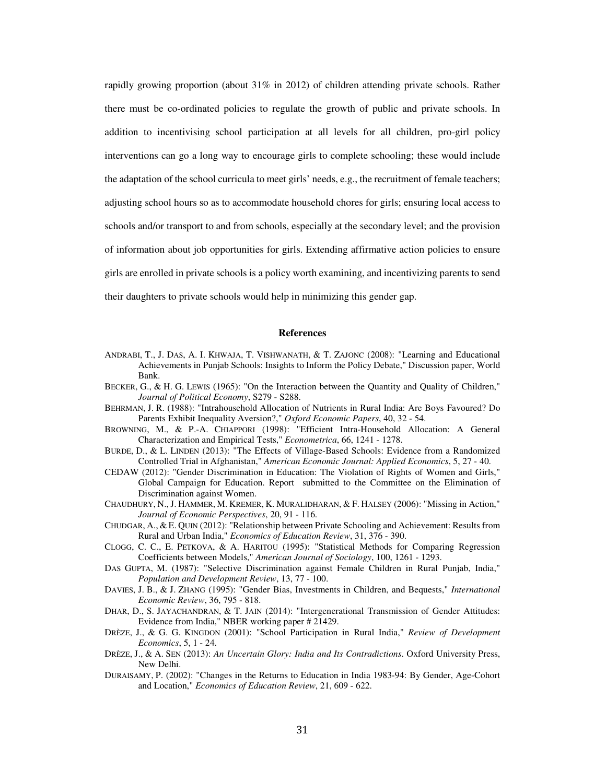rapidly growing proportion (about 31% in 2012) of children attending private schools. Rather there must be co-ordinated policies to regulate the growth of public and private schools. In addition to incentivising school participation at all levels for all children, pro-girl policy interventions can go a long way to encourage girls to complete schooling; these would include the adaptation of the school curricula to meet girls' needs, e.g., the recruitment of female teachers; adjusting school hours so as to accommodate household chores for girls; ensuring local access to schools and/or transport to and from schools, especially at the secondary level; and the provision of information about job opportunities for girls. Extending affirmative action policies to ensure girls are enrolled in private schools is a policy worth examining, and incentivizing parents to send their daughters to private schools would help in minimizing this gender gap.

#### **References**

- ANDRABI, T., J. DAS, A. I. KHWAJA, T. VISHWANATH, & T. ZAJONC (2008): "Learning and Educational Achievements in Punjab Schools: Insights to Inform the Policy Debate," Discussion paper, World Bank.
- BECKER, G., & H. G. LEWIS (1965): "On the Interaction between the Quantity and Quality of Children," *Journal of Political Economy*, S279 - S288.
- BEHRMAN, J. R. (1988): "Intrahousehold Allocation of Nutrients in Rural India: Are Boys Favoured? Do Parents Exhibit Inequality Aversion?," *Oxford Economic Papers*, 40, 32 - 54.
- BROWNING, M., & P.-A. CHIAPPORI (1998): "Efficient Intra-Household Allocation: A General Characterization and Empirical Tests," *Econometrica*, 66, 1241 - 1278.
- BURDE, D., & L. LINDEN (2013): "The Effects of Village-Based Schools: Evidence from a Randomized Controlled Trial in Afghanistan," *American Economic Journal: Applied Economics*, 5, 27 - 40.
- CEDAW (2012): "Gender Discrimination in Education: The Violation of Rights of Women and Girls," Global Campaign for Education. Report submitted to the Committee on the Elimination of Discrimination against Women.
- CHAUDHURY, N.,J. HAMMER, M. KREMER, K. MURALIDHARAN, & F. HALSEY (2006): "Missing in Action," *Journal of Economic Perspectives*, 20, 91 - 116.
- CHUDGAR, A., & E. QUIN (2012): "Relationship between Private Schooling and Achievement: Results from Rural and Urban India," *Economics of Education Review*, 31, 376 - 390.
- CLOGG, C. C., E. PETKOVA, & A. HARITOU (1995): "Statistical Methods for Comparing Regression Coefficients between Models," *American Journal of Sociology*, 100, 1261 - 1293.
- DAS GUPTA, M. (1987): "Selective Discrimination against Female Children in Rural Punjab, India," *Population and Development Review*, 13, 77 - 100.
- DAVIES, J. B., & J. ZHANG (1995): "Gender Bias, Investments in Children, and Bequests," *International Economic Review*, 36, 795 - 818.
- DHAR, D., S. JAYACHANDRAN, & T. JAIN (2014): "Intergenerational Transmission of Gender Attitudes: Evidence from India," NBER working paper # 21429.
- DRÈZE, J., & G. G. KINGDON (2001): "School Participation in Rural India," *Review of Development Economics*, 5, 1 - 24.
- DRÈZE, J., & A. SEN (2013): *An Uncertain Glory: India and Its Contradictions*. Oxford University Press, New Delhi.
- DURAISAMY, P. (2002): "Changes in the Returns to Education in India 1983-94: By Gender, Age-Cohort and Location," *Economics of Education Review*, 21, 609 - 622.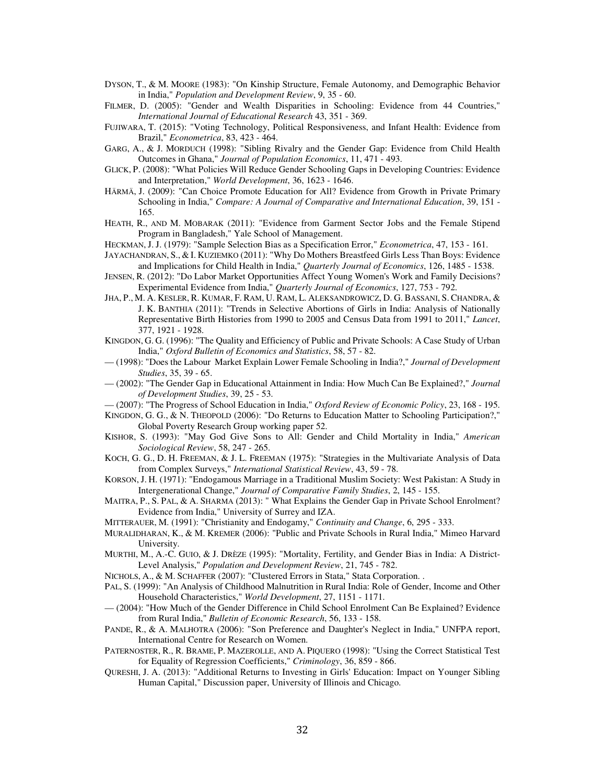- DYSON, T., & M. MOORE (1983): "On Kinship Structure, Female Autonomy, and Demographic Behavior in India," *Population and Development Review*, 9, 35 - 60.
- FILMER, D. (2005): "Gender and Wealth Disparities in Schooling: Evidence from 44 Countries," *International Journal of Educational Research* 43, 351 - 369.
- FUJIWARA, T. (2015): "Voting Technology, Political Responsiveness, and Infant Health: Evidence from Brazil," *Econometrica*, 83, 423 - 464.
- GARG, A., & J. MORDUCH (1998): "Sibling Rivalry and the Gender Gap: Evidence from Child Health Outcomes in Ghana," *Journal of Population Economics*, 11, 471 - 493.
- GLICK, P. (2008): "What Policies Will Reduce Gender Schooling Gaps in Developing Countries: Evidence and Interpretation," *World Development*, 36, 1623 - 1646.
- HÄRMÄ, J. (2009): "Can Choice Promote Education for All? Evidence from Growth in Private Primary Schooling in India," *Compare: A Journal of Comparative and International Education*, 39, 151 - 165.
- HEATH, R., AND M. MOBARAK (2011): "Evidence from Garment Sector Jobs and the Female Stipend Program in Bangladesh," Yale School of Management.
- HECKMAN, J. J. (1979): "Sample Selection Bias as a Specification Error," *Econometrica*, 47, 153 161.
- JAYACHANDRAN, S., & I. KUZIEMKO (2011): "Why Do Mothers Breastfeed Girls Less Than Boys: Evidence and Implications for Child Health in India," *Quarterly Journal of Economics*, 126, 1485 - 1538.
- JENSEN, R. (2012): "Do Labor Market Opportunities Affect Young Women's Work and Family Decisions? Experimental Evidence from India," *Quarterly Journal of Economics*, 127, 753 - 792.
- JHA, P., M. A. KESLER, R. KUMAR, F. RAM, U. RAM, L. ALEKSANDROWICZ, D. G. BASSANI, S. CHANDRA, & J. K. BANTHIA (2011): "Trends in Selective Abortions of Girls in India: Analysis of Nationally Representative Birth Histories from 1990 to 2005 and Census Data from 1991 to 2011," *Lancet*, 377, 1921 - 1928.
- KINGDON, G. G. (1996): "The Quality and Efficiency of Public and Private Schools: A Case Study of Urban India," *Oxford Bulletin of Economics and Statistics*, 58, 57 - 82.
- (1998): "Does the Labour Market Explain Lower Female Schooling in India?," *Journal of Development Studies*, 35, 39 - 65.
- (2002): "The Gender Gap in Educational Attainment in India: How Much Can Be Explained?," *Journal of Development Studies*, 39, 25 - 53.
- (2007): "The Progress of School Education in India," *Oxford Review of Economic Policy*, 23, 168 195.
- KINGDON, G. G., & N. THEOPOLD (2006): "Do Returns to Education Matter to Schooling Participation?," Global Poverty Research Group working paper 52.
- KISHOR, S. (1993): "May God Give Sons to All: Gender and Child Mortality in India," *American Sociological Review*, 58, 247 - 265.
- KOCH, G. G., D. H. FREEMAN, & J. L. FREEMAN (1975): "Strategies in the Multivariate Analysis of Data from Complex Surveys," *International Statistical Review*, 43, 59 - 78.
- KORSON, J. H. (1971): "Endogamous Marriage in a Traditional Muslim Society: West Pakistan: A Study in Intergenerational Change," *Journal of Comparative Family Studies*, 2, 145 - 155.
- MAITRA, P., S. PAL, & A. SHARMA (2013): " What Explains the Gender Gap in Private School Enrolment? Evidence from India," University of Surrey and IZA.
- MITTERAUER, M. (1991): "Christianity and Endogamy," *Continuity and Change*, 6, 295 333.
- MURALIDHARAN, K., & M. KREMER (2006): "Public and Private Schools in Rural India," Mimeo Harvard University.
- MURTHI, M., A.-C. GUIO, & J. DRÈZE (1995): "Mortality, Fertility, and Gender Bias in India: A District-Level Analysis," *Population and Development Review*, 21, 745 - 782.
- NICHOLS, A., & M. SCHAFFER (2007): "Clustered Errors in Stata," Stata Corporation. .
- PAL, S. (1999): "An Analysis of Childhood Malnutrition in Rural India: Role of Gender, Income and Other Household Characteristics," *World Development*, 27, 1151 - 1171.
- (2004): "How Much of the Gender Difference in Child School Enrolment Can Be Explained? Evidence from Rural India," *Bulletin of Economic Research*, 56, 133 - 158.
- PANDE, R., & A. MALHOTRA (2006): "Son Preference and Daughter's Neglect in India," UNFPA report, International Centre for Research on Women.
- PATERNOSTER, R., R. BRAME, P. MAZEROLLE, AND A. PIQUERO (1998): "Using the Correct Statistical Test for Equality of Regression Coefficients," *Criminology*, 36, 859 - 866.
- QURESHI, J. A. (2013): "Additional Returns to Investing in Girls' Education: Impact on Younger Sibling Human Capital," Discussion paper, University of Illinois and Chicago.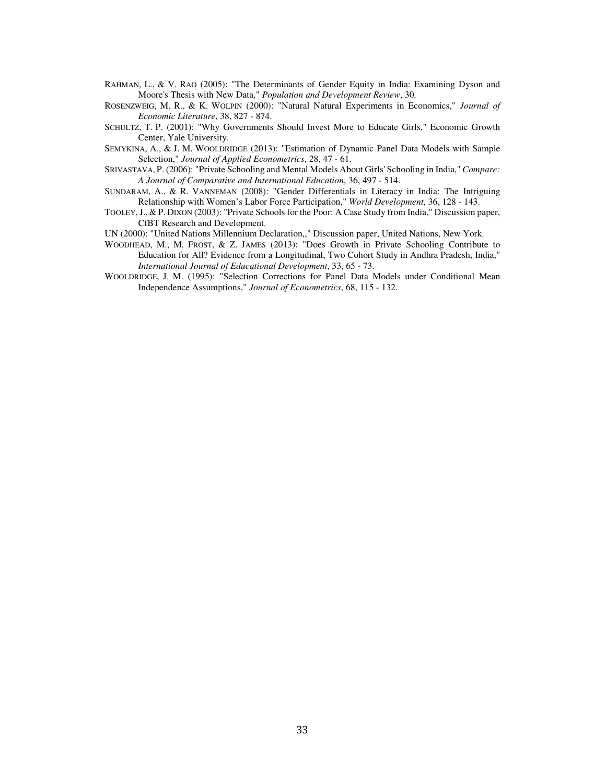- RAHMAN, L., & V. RAO (2005): "The Determinants of Gender Equity in India: Examining Dyson and Moore's Thesis with New Data," *Population and Development Review*, 30.
- ROSENZWEIG, M. R., & K. WOLPIN (2000): "Natural Natural Experiments in Economics," *Journal of Economic Literature*, 38, 827 - 874.
- SCHULTZ, T. P. (2001): "Why Governments Should Invest More to Educate Girls," Economic Growth Center, Yale University.
- SEMYKINA, A., & J. M. WOOLDRIDGE (2013): "Estimation of Dynamic Panel Data Models with Sample Selection," *Journal of Applied Econometrics*, 28, 47 - 61.
- SRIVASTAVA, P. (2006): "Private Schooling and Mental Models About Girls' Schooling in India," *Compare: A Journal of Comparative and International Education*, 36, 497 - 514.
- SUNDARAM, A., & R. VANNEMAN (2008): "Gender Differentials in Literacy in India: The Intriguing Relationship with Women's Labor Force Participation," *World Development*, 36, 128 - 143.
- TOOLEY,J., & P. DIXON (2003): "Private Schools for the Poor: A Case Study from India," Discussion paper, CfBT Research and Development.
- UN (2000): "United Nations Millennium Declaration,," Discussion paper, United Nations, New York.
- WOODHEAD, M., M. FROST, & Z. JAMES (2013): "Does Growth in Private Schooling Contribute to Education for All? Evidence from a Longitudinal, Two Cohort Study in Andhra Pradesh, India," *International Journal of Educational Development*, 33, 65 - 73.
- WOOLDRIDGE, J. M. (1995): "Selection Corrections for Panel Data Models under Conditional Mean Independence Assumptions," *Journal of Econometrics*, 68, 115 - 132.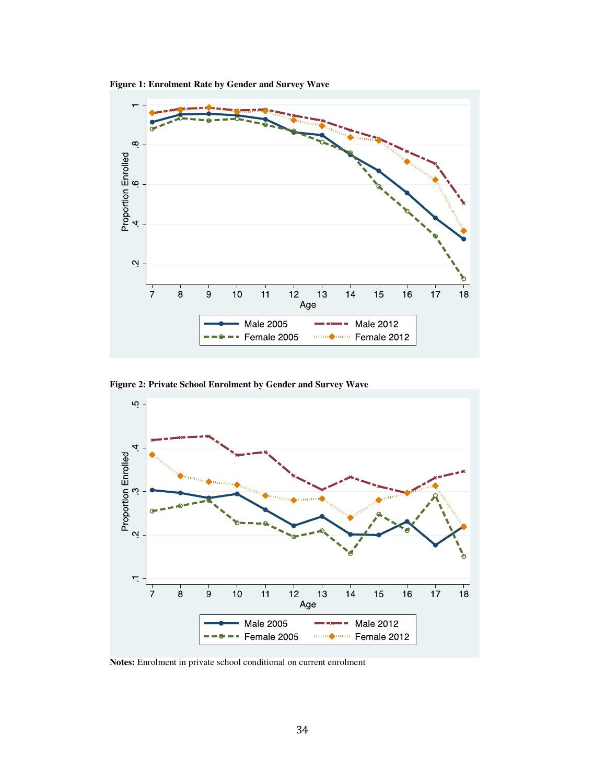**Figure 1: Enrolment Rate by Gender and Survey Wave** 



**Figure 2: Private School Enrolment by Gender and Survey Wave**



**Notes:** Enrolment in private school conditional on current enrolment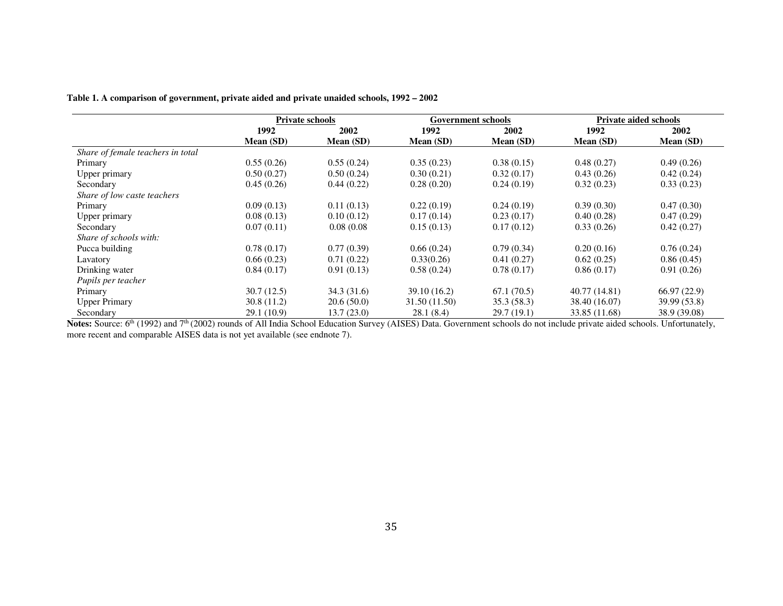**Table 1. A comparison of government, private aided and private unaided schools, 1992 – 2002** 

|                                   | <b>Private schools</b> |            | <b>Government schools</b> |             | <b>Private aided schools</b> |              |
|-----------------------------------|------------------------|------------|---------------------------|-------------|------------------------------|--------------|
|                                   | 1992                   | 2002       | 1992                      | 2002        | 1992                         | 2002         |
|                                   | Mean (SD)              | Mean (SD)  | Mean (SD)                 | Mean (SD)   | Mean (SD)                    | Mean (SD)    |
| Share of female teachers in total |                        |            |                           |             |                              |              |
| Primary                           | 0.55(0.26)             | 0.55(0.24) | 0.35(0.23)                | 0.38(0.15)  | 0.48(0.27)                   | 0.49(0.26)   |
| Upper primary                     | 0.50(0.27)             | 0.50(0.24) | 0.30(0.21)                | 0.32(0.17)  | 0.43(0.26)                   | 0.42(0.24)   |
| Secondary                         | 0.45(0.26)             | 0.44(0.22) | 0.28(0.20)                | 0.24(0.19)  | 0.32(0.23)                   | 0.33(0.23)   |
| Share of low caste teachers       |                        |            |                           |             |                              |              |
| Primary                           | 0.09(0.13)             | 0.11(0.13) | 0.22(0.19)                | 0.24(0.19)  | 0.39(0.30)                   | 0.47(0.30)   |
| Upper primary                     | 0.08(0.13)             | 0.10(0.12) | 0.17(0.14)                | 0.23(0.17)  | 0.40(0.28)                   | 0.47(0.29)   |
| Secondary                         | 0.07(0.11)             | 0.08(0.08) | 0.15(0.13)                | 0.17(0.12)  | 0.33(0.26)                   | 0.42(0.27)   |
| Share of schools with:            |                        |            |                           |             |                              |              |
| Pucca building                    | 0.78(0.17)             | 0.77(0.39) | 0.66(0.24)                | 0.79(0.34)  | 0.20(0.16)                   | 0.76(0.24)   |
| Lavatory                          | 0.66(0.23)             | 0.71(0.22) | 0.33(0.26)                | 0.41(0.27)  | 0.62(0.25)                   | 0.86(0.45)   |
| Drinking water                    | 0.84(0.17)             | 0.91(0.13) | 0.58(0.24)                | 0.78(0.17)  | 0.86(0.17)                   | 0.91(0.26)   |
| Pupils per teacher                |                        |            |                           |             |                              |              |
| Primary                           | 30.7(12.5)             | 34.3(31.6) | 39.10 (16.2)              | 67.1(70.5)  | 40.77 (14.81)                | 66.97(22.9)  |
| <b>Upper Primary</b>              | 30.8(11.2)             | 20.6(50.0) | 31.50 (11.50)             | 35.3(58.3)  | 38.40 (16.07)                | 39.99 (53.8) |
| Secondary                         | 29.1 (10.9)            | 13.7(23.0) | 28.1(8.4)                 | 29.7 (19.1) | 33.85 (11.68)                | 38.9 (39.08) |

Notes: Source: 6<sup>th</sup> (1992) and 7<sup>th</sup> (2002) rounds of All India School Education Survey (AISES) Data. Government schools do not include private aided schools. Unfortunately, more recent and comparable AISES data is not yet available (see endnote 7).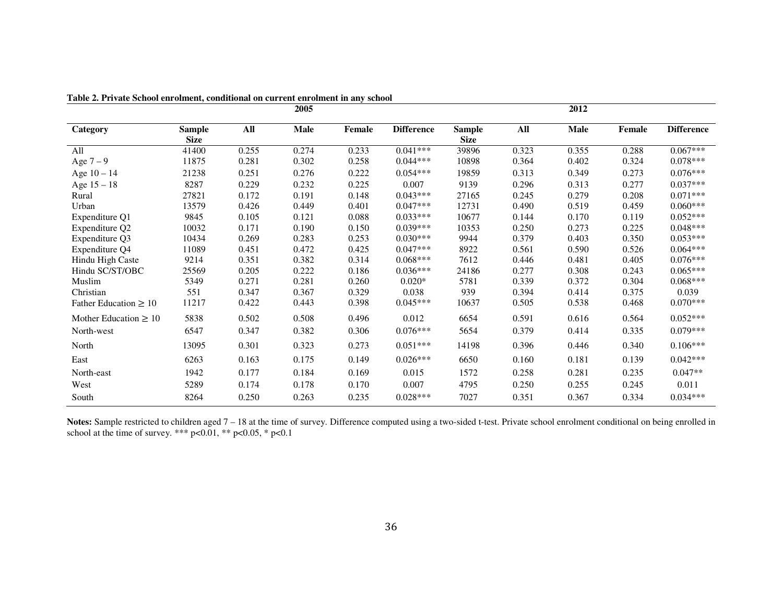|                            |                              |       | 2005        |        |                   |                              |       | 2012  |        |                   |
|----------------------------|------------------------------|-------|-------------|--------|-------------------|------------------------------|-------|-------|--------|-------------------|
| Category                   | <b>Sample</b><br><b>Size</b> | All   | <b>Male</b> | Female | <b>Difference</b> | <b>Sample</b><br><b>Size</b> | All   | Male  | Female | <b>Difference</b> |
| All                        | 41400                        | 0.255 | 0.274       | 0.233  | $0.041***$        | 39896                        | 0.323 | 0.355 | 0.288  | $0.067***$        |
| Age $7-9$                  | 11875                        | 0.281 | 0.302       | 0.258  | $0.044***$        | 10898                        | 0.364 | 0.402 | 0.324  | $0.078***$        |
| Age $10 - 14$              | 21238                        | 0.251 | 0.276       | 0.222  | $0.054***$        | 19859                        | 0.313 | 0.349 | 0.273  | $0.076***$        |
| Age $15 - 18$              | 8287                         | 0.229 | 0.232       | 0.225  | 0.007             | 9139                         | 0.296 | 0.313 | 0.277  | $0.037***$        |
| Rural                      | 27821                        | 0.172 | 0.191       | 0.148  | $0.043***$        | 27165                        | 0.245 | 0.279 | 0.208  | $0.071***$        |
| Urban                      | 13579                        | 0.426 | 0.449       | 0.401  | $0.047***$        | 12731                        | 0.490 | 0.519 | 0.459  | $0.060***$        |
| Expenditure Q1             | 9845                         | 0.105 | 0.121       | 0.088  | $0.033***$        | 10677                        | 0.144 | 0.170 | 0.119  | $0.052***$        |
| Expenditure Q2             | 10032                        | 0.171 | 0.190       | 0.150  | $0.039***$        | 10353                        | 0.250 | 0.273 | 0.225  | $0.048***$        |
| Expenditure Q3             | 10434                        | 0.269 | 0.283       | 0.253  | $0.030***$        | 9944                         | 0.379 | 0.403 | 0.350  | $0.053***$        |
| Expenditure Q4             | 11089                        | 0.451 | 0.472       | 0.425  | $0.047***$        | 8922                         | 0.561 | 0.590 | 0.526  | $0.064***$        |
| Hindu High Caste           | 9214                         | 0.351 | 0.382       | 0.314  | $0.068***$        | 7612                         | 0.446 | 0.481 | 0.405  | $0.076***$        |
| Hindu SC/ST/OBC            | 25569                        | 0.205 | 0.222       | 0.186  | $0.036***$        | 24186                        | 0.277 | 0.308 | 0.243  | $0.065***$        |
| Muslim                     | 5349                         | 0.271 | 0.281       | 0.260  | $0.020*$          | 5781                         | 0.339 | 0.372 | 0.304  | $0.068***$        |
| Christian                  | 551                          | 0.347 | 0.367       | 0.329  | 0.038             | 939                          | 0.394 | 0.414 | 0.375  | 0.039             |
| Father Education $\geq 10$ | 11217                        | 0.422 | 0.443       | 0.398  | $0.045***$        | 10637                        | 0.505 | 0.538 | 0.468  | $0.070***$        |
| Mother Education $\geq 10$ | 5838                         | 0.502 | 0.508       | 0.496  | 0.012             | 6654                         | 0.591 | 0.616 | 0.564  | $0.052***$        |
| North-west                 | 6547                         | 0.347 | 0.382       | 0.306  | $0.076***$        | 5654                         | 0.379 | 0.414 | 0.335  | $0.079***$        |
| North                      | 13095                        | 0.301 | 0.323       | 0.273  | $0.051***$        | 14198                        | 0.396 | 0.446 | 0.340  | $0.106***$        |
| East                       | 6263                         | 0.163 | 0.175       | 0.149  | $0.026***$        | 6650                         | 0.160 | 0.181 | 0.139  | $0.042***$        |
| North-east                 | 1942                         | 0.177 | 0.184       | 0.169  | 0.015             | 1572                         | 0.258 | 0.281 | 0.235  | $0.047**$         |
| West                       | 5289                         | 0.174 | 0.178       | 0.170  | 0.007             | 4795                         | 0.250 | 0.255 | 0.245  | 0.011             |
| South                      | 8264                         | 0.250 | 0.263       | 0.235  | $0.028***$        | 7027                         | 0.351 | 0.367 | 0.334  | $0.034***$        |

**Table 2. Private School enrolment, conditional on current enrolment in any school** 

Notes: Sample restricted to children aged 7 – 18 at the time of survey. Difference computed using a two-sided t-test. Private school enrolment conditional on being enrolled in school at the time of survey. \*\*\* p<0.01, \*\* p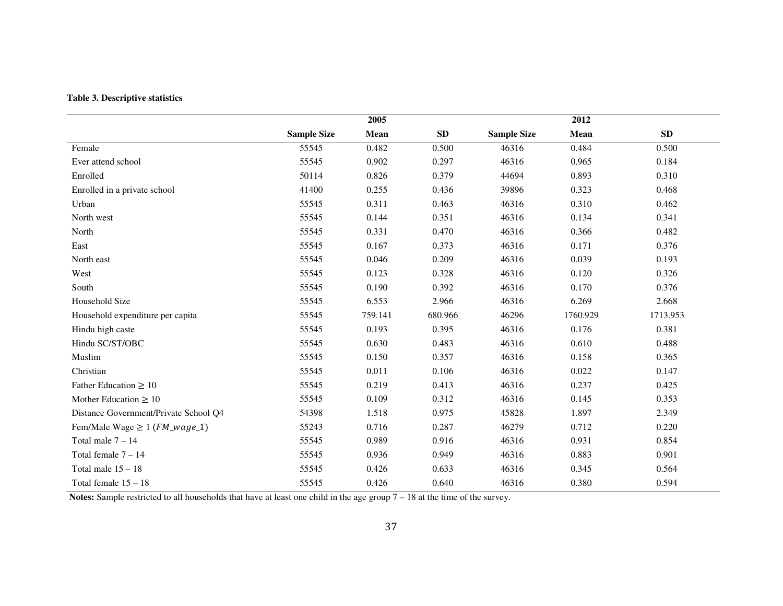### **Table 3. Descriptive statistics**

|                                             |                    | 2005    |         |                    | 2012     |          |
|---------------------------------------------|--------------------|---------|---------|--------------------|----------|----------|
|                                             | <b>Sample Size</b> | Mean    | SD      | <b>Sample Size</b> | Mean     | SD       |
| Female                                      | 55545              | 0.482   | 0.500   | 46316              | 0.484    | 0.500    |
| Ever attend school                          | 55545              | 0.902   | 0.297   | 46316              | 0.965    | 0.184    |
| Enrolled                                    | 50114              | 0.826   | 0.379   | 44694              | 0.893    | 0.310    |
| Enrolled in a private school                | 41400              | 0.255   | 0.436   | 39896              | 0.323    | 0.468    |
| Urban                                       | 55545              | 0.311   | 0.463   | 46316              | 0.310    | 0.462    |
| North west                                  | 55545              | 0.144   | 0.351   | 46316              | 0.134    | 0.341    |
| North                                       | 55545              | 0.331   | 0.470   | 46316              | 0.366    | 0.482    |
| East                                        | 55545              | 0.167   | 0.373   | 46316              | 0.171    | 0.376    |
| North east                                  | 55545              | 0.046   | 0.209   | 46316              | 0.039    | 0.193    |
| West                                        | 55545              | 0.123   | 0.328   | 46316              | 0.120    | 0.326    |
| South                                       | 55545              | 0.190   | 0.392   | 46316              | 0.170    | 0.376    |
| Household Size                              | 55545              | 6.553   | 2.966   | 46316              | 6.269    | 2.668    |
| Household expenditure per capita            | 55545              | 759.141 | 680.966 | 46296              | 1760.929 | 1713.953 |
| Hindu high caste                            | 55545              | 0.193   | 0.395   | 46316              | 0.176    | 0.381    |
| Hindu SC/ST/OBC                             | 55545              | 0.630   | 0.483   | 46316              | 0.610    | 0.488    |
| Muslim                                      | 55545              | 0.150   | 0.357   | 46316              | 0.158    | 0.365    |
| Christian                                   | 55545              | 0.011   | 0.106   | 46316              | 0.022    | 0.147    |
| Father Education $\geq 10$                  | 55545              | 0.219   | 0.413   | 46316              | 0.237    | 0.425    |
| Mother Education $\geq 10$                  | 55545              | 0.109   | 0.312   | 46316              | 0.145    | 0.353    |
| Distance Government/Private School Q4       | 54398              | 1.518   | 0.975   | 45828              | 1.897    | 2.349    |
| Fem/Male Wage $\geq 1$ ( <i>FM_wage_1</i> ) | 55243              | 0.716   | 0.287   | 46279              | 0.712    | 0.220    |
| Total male $7 - 14$                         | 55545              | 0.989   | 0.916   | 46316              | 0.931    | 0.854    |
| Total female $7 - 14$                       | 55545              | 0.936   | 0.949   | 46316              | 0.883    | 0.901    |
| Total male $15 - 18$                        | 55545              | 0.426   | 0.633   | 46316              | 0.345    | 0.564    |
| Total female $15 - 18$                      | 55545              | 0.426   | 0.640   | 46316              | 0.380    | 0.594    |

 **Notes:** Sample restricted to all households that have at least one child in the age group 7 – 18 at the time of the survey.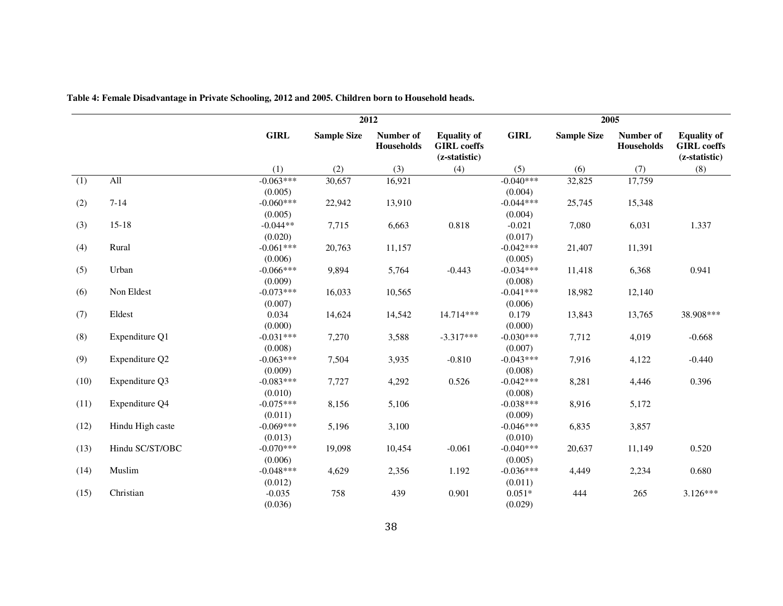|      |                  |                                   |                    | 2012                    |                                                           |                                   | $\frac{2005}{ }$   |                         |                                                           |  |
|------|------------------|-----------------------------------|--------------------|-------------------------|-----------------------------------------------------------|-----------------------------------|--------------------|-------------------------|-----------------------------------------------------------|--|
|      |                  | <b>GIRL</b>                       | <b>Sample Size</b> | Number of<br>Households | <b>Equality of</b><br><b>GIRL</b> coeffs<br>(z-statistic) | <b>GIRL</b>                       | <b>Sample Size</b> | Number of<br>Households | <b>Equality of</b><br><b>GIRL</b> coeffs<br>(z-statistic) |  |
|      |                  | (1)                               | (2)                | (3)                     | (4)                                                       | (5)                               | (6)                | (7)                     | (8)                                                       |  |
| (1)  | All              | $-0.063***$<br>(0.005)            | 30,657             | 16,921                  |                                                           | $-0.040***$<br>(0.004)            | 32,825             | 17,759                  |                                                           |  |
| (2)  | $7 - 14$         | $-0.060***$<br>(0.005)            | 22,942             | 13,910                  |                                                           | $-0.044***$<br>(0.004)            | 25,745             | 15,348                  |                                                           |  |
| (3)  | $15 - 18$        | $-0.044**$<br>(0.020)             | 7,715              | 6,663                   | 0.818                                                     | $-0.021$<br>(0.017)               | 7,080              | 6,031                   | 1.337                                                     |  |
| (4)  | Rural            | $-0.061***$                       | 20,763             | 11,157                  |                                                           | $-0.042***$                       | 21,407             | 11,391                  |                                                           |  |
| (5)  | Urban            | (0.006)<br>$-0.066***$<br>(0.009) | 9,894              | 5,764                   | $-0.443$                                                  | (0.005)<br>$-0.034***$<br>(0.008) | 11,418             | 6,368                   | 0.941                                                     |  |
| (6)  | Non Eldest       | $-0.073***$<br>(0.007)            | 16,033             | 10,565                  |                                                           | $-0.041***$<br>(0.006)            | 18,982             | 12,140                  |                                                           |  |
| (7)  | Eldest           | 0.034<br>(0.000)                  | 14,624             | 14,542                  | 14.714***                                                 | 0.179<br>(0.000)                  | 13,843             | 13,765                  | 38.908***                                                 |  |
| (8)  | Expenditure Q1   | $-0.031***$<br>(0.008)            | 7,270              | 3,588                   | $-3.317***$                                               | $-0.030***$<br>(0.007)            | 7,712              | 4,019                   | $-0.668$                                                  |  |
| (9)  | Expenditure Q2   | $-0.063***$<br>(0.009)            | 7,504              | 3,935                   | $-0.810$                                                  | $-0.043***$<br>(0.008)            | 7,916              | 4,122                   | $-0.440$                                                  |  |
| (10) | Expenditure Q3   | $-0.083***$<br>(0.010)            | 7,727              | 4,292                   | 0.526                                                     | $-0.042***$<br>(0.008)            | 8,281              | 4,446                   | 0.396                                                     |  |
| (11) | Expenditure Q4   | $-0.075***$<br>(0.011)            | 8,156              | 5,106                   |                                                           | $-0.038***$<br>(0.009)            | 8,916              | 5,172                   |                                                           |  |
| (12) | Hindu High caste | $-0.069***$<br>(0.013)            | 5,196              | 3,100                   |                                                           | $-0.046***$<br>(0.010)            | 6,835              | 3,857                   |                                                           |  |
| (13) | Hindu SC/ST/OBC  | $-0.070***$<br>(0.006)            | 19,098             | 10,454                  | $-0.061$                                                  | $-0.040***$<br>(0.005)            | 20,637             | 11,149                  | 0.520                                                     |  |
| (14) | Muslim           | $-0.048***$<br>(0.012)            | 4,629              | 2,356                   | 1.192                                                     | $-0.036***$<br>(0.011)            | 4,449              | 2,234                   | 0.680                                                     |  |
| (15) | Christian        | $-0.035$<br>(0.036)               | 758                | 439                     | 0.901                                                     | $0.051*$<br>(0.029)               | 444                | 265                     | $3.126***$                                                |  |

**Table 4: Female Disadvantage in Private Schooling, 2012 and 2005. Children born to Household heads.**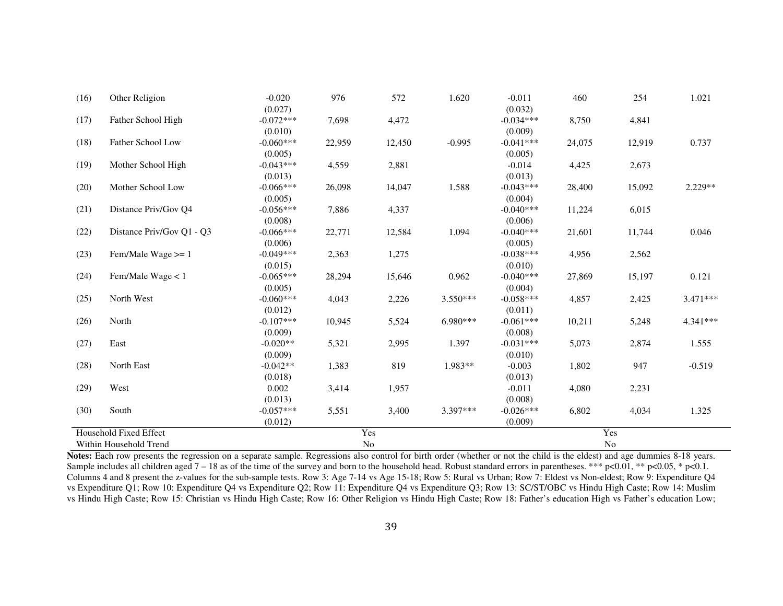| (16) | Other Religion                | $-0.020$<br>(0.027)    | 976    | 572    | 1.620    | $-0.011$<br>(0.032)    | 460    | 254            | 1.021      |
|------|-------------------------------|------------------------|--------|--------|----------|------------------------|--------|----------------|------------|
| (17) | Father School High            | $-0.072***$<br>(0.010) | 7,698  | 4,472  |          | $-0.034***$<br>(0.009) | 8,750  | 4,841          |            |
| (18) | Father School Low             | $-0.060***$<br>(0.005) | 22,959 | 12,450 | $-0.995$ | $-0.041***$<br>(0.005) | 24,075 | 12,919         | 0.737      |
| (19) | Mother School High            | $-0.043***$<br>(0.013) | 4,559  | 2,881  |          | $-0.014$<br>(0.013)    | 4,425  | 2,673          |            |
| (20) | Mother School Low             | $-0.066***$<br>(0.005) | 26,098 | 14,047 | 1.588    | $-0.043***$<br>(0.004) | 28,400 | 15,092         | 2.229**    |
| (21) | Distance Priv/Gov Q4          | $-0.056***$<br>(0.008) | 7,886  | 4,337  |          | $-0.040***$<br>(0.006) | 11,224 | 6,015          |            |
| (22) | Distance Priv/Gov Q1 - Q3     | $-0.066***$<br>(0.006) | 22,771 | 12,584 | 1.094    | $-0.040***$<br>(0.005) | 21,601 | 11,744         | 0.046      |
| (23) | Fem/Male Wage $>= 1$          | $-0.049***$<br>(0.015) | 2,363  | 1,275  |          | $-0.038***$<br>(0.010) | 4,956  | 2,562          |            |
| (24) | Fem/Male Wage < 1             | $-0.065***$<br>(0.005) | 28,294 | 15,646 | 0.962    | $-0.040***$<br>(0.004) | 27,869 | 15,197         | 0.121      |
| (25) | North West                    | $-0.060***$<br>(0.012) | 4,043  | 2,226  | 3.550*** | $-0.058***$<br>(0.011) | 4,857  | 2,425          | $3.471***$ |
| (26) | North                         | $-0.107***$<br>(0.009) | 10,945 | 5,524  | 6.980*** | $-0.061***$<br>(0.008) | 10,211 | 5,248          | 4.341***   |
| (27) | East                          | $-0.020**$<br>(0.009)  | 5,321  | 2,995  | 1.397    | $-0.031***$<br>(0.010) | 5,073  | 2,874          | 1.555      |
| (28) | North East                    | $-0.042**$<br>(0.018)  | 1,383  | 819    | 1.983**  | $-0.003$<br>(0.013)    | 1,802  | 947            | $-0.519$   |
| (29) | West                          | 0.002<br>(0.013)       | 3,414  | 1,957  |          | $-0.011$<br>(0.008)    | 4,080  | 2,231          |            |
| (30) | South                         | $-0.057***$<br>(0.012) | 5,551  | 3,400  | 3.397*** | $-0.026***$<br>(0.009) | 6,802  | 4,034          | 1.325      |
|      | <b>Household Fixed Effect</b> |                        |        | Yes    |          |                        |        | Yes            |            |
|      | Within Household Trend        |                        |        | No     |          |                        |        | N <sub>0</sub> |            |

**Notes:** Each row presents the regression on a separate sample. Regressions also control for birth order (whether or not the child is the eldest) and age dummies 8-18 years. Sample includes all children aged  $7 - 18$  as of the time of the survey and born to the household head. Robust standard errors in parentheses. \*\*\* p<0.01, \*\* p<0.05, \* p<0.1. Columns 4 and 8 present the z-values for the sub-sample tests. Row 3: Age 7-14 vs Age 15-18; Row 5: Rural vs Urban; Row 7: Eldest vs Non-eldest; Row 9: Expenditure Q4 vs Expenditure Q1; Row 10: Expenditure Q4 vs Expenditure Q2; Row 11: Expenditure Q4 vs Expenditure Q3; Row 13: SC/ST/OBC vs Hindu High Caste; Row 14: Muslim vs Hindu High Caste; Row 15: Christian vs Hindu High Caste; Row 16: Other Religion vs Hindu High Caste; Row 18: Father's education High vs Father's education Low;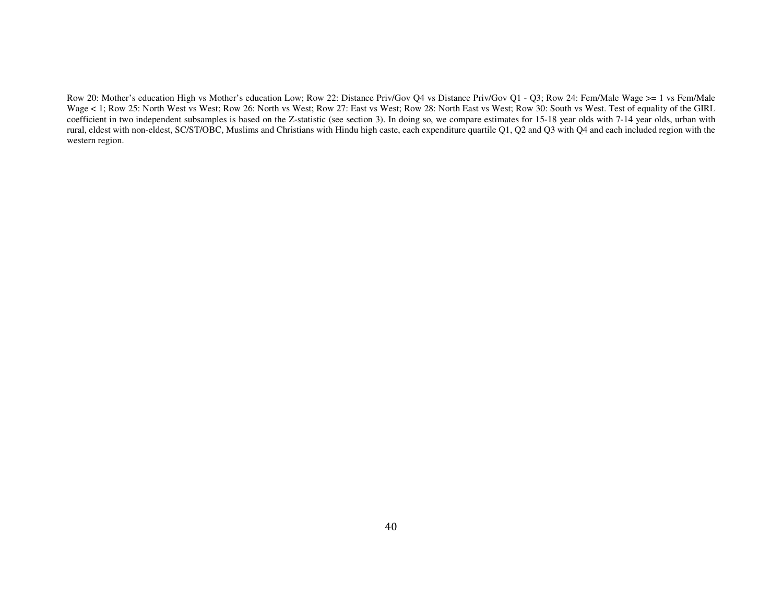Row 20: Mother's education High vs Mother's education Low; Row 22: Distance Priv/Gov Q4 vs Distance Priv/Gov Q1 - Q3; Row 24: Fem/Male Wage >= 1 vs Fem/Male Wage < 1; Row 25: North West vs West; Row 26: North vs West; Row 27: East vs West; Row 28: North East vs West; Row 30: South vs West. Test of equality of the GIRL coefficient in two independent subsamples is based on the Z-statistic (see section 3). In doing so, we compare estimates for 15-18 year olds with 7-14 year olds, urban with rural, eldest with non-eldest, SC/ST/OBC, Muslims and Christians with Hindu high caste, each expenditure quartile Q1, Q2 and Q3 with Q4 and each included region with the western region.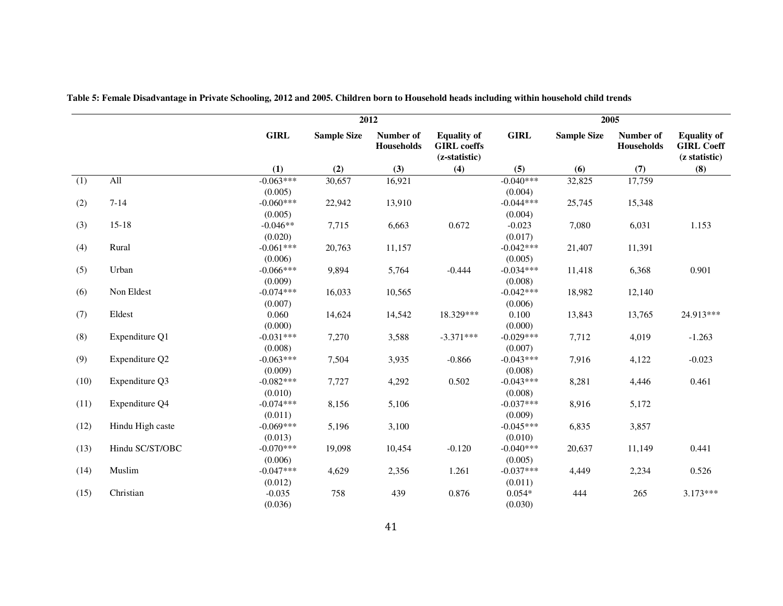|                  |                  |                                   |                    | 2012                           |                                                           |                                   | 2005               |                         |                                                                  |  |
|------------------|------------------|-----------------------------------|--------------------|--------------------------------|-----------------------------------------------------------|-----------------------------------|--------------------|-------------------------|------------------------------------------------------------------|--|
|                  |                  | <b>GIRL</b>                       | <b>Sample Size</b> | Number of<br><b>Households</b> | <b>Equality of</b><br><b>GIRL</b> coeffs<br>(z-statistic) | <b>GIRL</b>                       | <b>Sample Size</b> | Number of<br>Households | <b>Equality of</b><br><b>GIRL Coeff</b><br>( <i>z</i> statistic) |  |
|                  |                  | (1)                               | (2)                | (3)                            | (4)                                                       | (5)                               | (6)                | (7)                     | (8)                                                              |  |
| $\overline{(1)}$ | All              | $-0.063***$                       | 30,657             | 16,921                         |                                                           | $-0.040***$                       | 32,825             | 17,759                  |                                                                  |  |
| (2)              | $7 - 14$         | (0.005)<br>$-0.060***$<br>(0.005) | 22,942             | 13,910                         |                                                           | (0.004)<br>$-0.044***$<br>(0.004) | 25,745             | 15,348                  |                                                                  |  |
| (3)              | $15 - 18$        | $-0.046**$<br>(0.020)             | 7,715              | 6,663                          | 0.672                                                     | $-0.023$<br>(0.017)               | 7,080              | 6,031                   | 1.153                                                            |  |
| (4)              | Rural            | $-0.061***$<br>(0.006)            | 20,763             | 11,157                         |                                                           | $-0.042***$<br>(0.005)            | 21,407             | 11,391                  |                                                                  |  |
| (5)              | Urban            | $-0.066***$<br>(0.009)            | 9,894              | 5,764                          | $-0.444$                                                  | $-0.034***$<br>(0.008)            | 11,418             | 6,368                   | 0.901                                                            |  |
| (6)              | Non Eldest       | $-0.074***$<br>(0.007)            | 16,033             | 10,565                         |                                                           | $-0.042***$<br>(0.006)            | 18,982             | 12,140                  |                                                                  |  |
| (7)              | Eldest           | 0.060<br>(0.000)                  | 14,624             | 14,542                         | 18.329***                                                 | 0.100<br>(0.000)                  | 13,843             | 13,765                  | 24.913***                                                        |  |
| (8)              | Expenditure Q1   | $-0.031***$<br>(0.008)            | 7,270              | 3,588                          | $-3.371***$                                               | $-0.029***$<br>(0.007)            | 7,712              | 4,019                   | $-1.263$                                                         |  |
| (9)              | Expenditure Q2   | $-0.063***$<br>(0.009)            | 7,504              | 3,935                          | $-0.866$                                                  | $-0.043***$<br>(0.008)            | 7,916              | 4,122                   | $-0.023$                                                         |  |
| (10)             | Expenditure Q3   | $-0.082***$<br>(0.010)            | 7,727              | 4,292                          | 0.502                                                     | $-0.043***$<br>(0.008)            | 8,281              | 4,446                   | 0.461                                                            |  |
| (11)             | Expenditure Q4   | $-0.074***$<br>(0.011)            | 8,156              | 5,106                          |                                                           | $-0.037***$<br>(0.009)            | 8,916              | 5,172                   |                                                                  |  |
| (12)             | Hindu High caste | $-0.069***$<br>(0.013)            | 5,196              | 3,100                          |                                                           | $-0.045***$<br>(0.010)            | 6,835              | 3,857                   |                                                                  |  |
| (13)             | Hindu SC/ST/OBC  | $-0.070***$<br>(0.006)            | 19,098             | 10,454                         | $-0.120$                                                  | $-0.040***$<br>(0.005)            | 20,637             | 11,149                  | 0.441                                                            |  |
| (14)             | Muslim           | $-0.047***$<br>(0.012)            | 4,629              | 2,356                          | 1.261                                                     | $-0.037***$<br>(0.011)            | 4,449              | 2,234                   | 0.526                                                            |  |
| (15)             | Christian        | $-0.035$<br>(0.036)               | 758                | 439                            | 0.876                                                     | $0.054*$<br>(0.030)               | 444                | 265                     | $3.173***$                                                       |  |

**Table 5: Female Disadvantage in Private Schooling, 2012 and 2005. Children born to Household heads including within household child trends**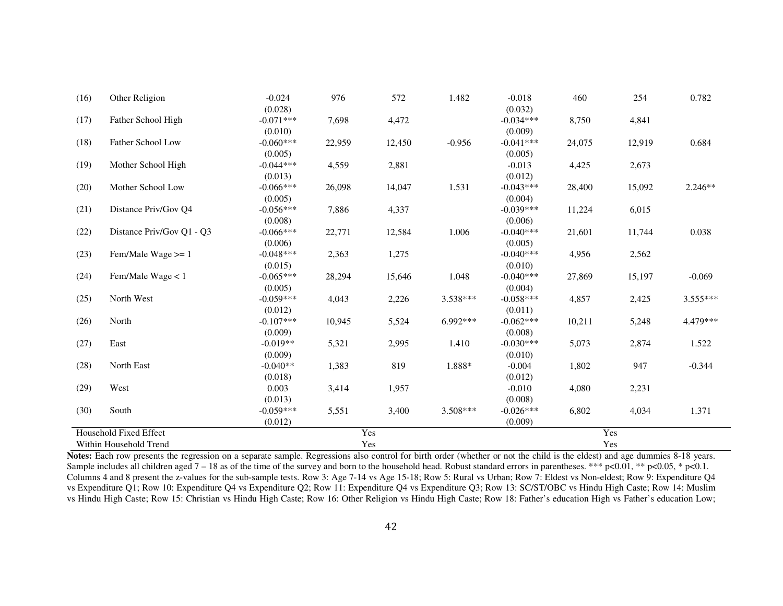| (16) | Other Religion                | $-0.024$<br>(0.028)    | 976    | 572    | 1.482      | $-0.018$<br>(0.032)    | 460    | 254    | 0.782      |
|------|-------------------------------|------------------------|--------|--------|------------|------------------------|--------|--------|------------|
| (17) | Father School High            | $-0.071***$<br>(0.010) | 7,698  | 4,472  |            | $-0.034***$<br>(0.009) | 8,750  | 4,841  |            |
| (18) | Father School Low             | $-0.060***$<br>(0.005) | 22,959 | 12,450 | $-0.956$   | $-0.041***$<br>(0.005) | 24,075 | 12,919 | 0.684      |
| (19) | Mother School High            | $-0.044***$<br>(0.013) | 4,559  | 2,881  |            | $-0.013$<br>(0.012)    | 4,425  | 2,673  |            |
| (20) | Mother School Low             | $-0.066***$<br>(0.005) | 26,098 | 14,047 | 1.531      | $-0.043***$<br>(0.004) | 28,400 | 15,092 | 2.246**    |
| (21) | Distance Priv/Gov Q4          | $-0.056***$<br>(0.008) | 7,886  | 4,337  |            | $-0.039***$<br>(0.006) | 11,224 | 6,015  |            |
| (22) | Distance Priv/Gov Q1 - Q3     | $-0.066***$<br>(0.006) | 22,771 | 12,584 | 1.006      | $-0.040***$<br>(0.005) | 21,601 | 11,744 | 0.038      |
| (23) | Fem/Male Wage $>= 1$          | $-0.048***$<br>(0.015) | 2,363  | 1,275  |            | $-0.040***$<br>(0.010) | 4,956  | 2,562  |            |
| (24) | Fem/Male Wage < 1             | $-0.065***$<br>(0.005) | 28,294 | 15,646 | 1.048      | $-0.040***$<br>(0.004) | 27,869 | 15,197 | $-0.069$   |
| (25) | North West                    | $-0.059***$<br>(0.012) | 4,043  | 2,226  | 3.538***   | $-0.058***$<br>(0.011) | 4,857  | 2,425  | $3.555***$ |
| (26) | North                         | $-0.107***$<br>(0.009) | 10,945 | 5,524  | $6.992***$ | $-0.062***$<br>(0.008) | 10,211 | 5,248  | 4.479***   |
| (27) | East                          | $-0.019**$<br>(0.009)  | 5,321  | 2,995  | 1.410      | $-0.030***$<br>(0.010) | 5,073  | 2,874  | 1.522      |
| (28) | North East                    | $-0.040**$<br>(0.018)  | 1,383  | 819    | 1.888*     | $-0.004$<br>(0.012)    | 1,802  | 947    | $-0.344$   |
| (29) | West                          | 0.003<br>(0.013)       | 3,414  | 1,957  |            | $-0.010$<br>(0.008)    | 4,080  | 2,231  |            |
| (30) | South                         | $-0.059***$<br>(0.012) | 5,551  | 3,400  | 3.508***   | $-0.026***$<br>(0.009) | 6,802  | 4,034  | 1.371      |
|      | <b>Household Fixed Effect</b> |                        |        | Yes    |            |                        |        | Yes    |            |
|      | Within Household Trend        |                        |        | Yes    |            |                        |        | Yes    |            |

**Notes:** Each row presents the regression on a separate sample. Regressions also control for birth order (whether or not the child is the eldest) and age dummies 8-18 years. Sample includes all children aged  $7 - 18$  as of the time of the survey and born to the household head. Robust standard errors in parentheses. \*\*\* p<0.01, \*\* p<0.05, \* p<0.1. Columns 4 and 8 present the z-values for the sub-sample tests. Row 3: Age 7-14 vs Age 15-18; Row 5: Rural vs Urban; Row 7: Eldest vs Non-eldest; Row 9: Expenditure Q4 vs Expenditure Q1; Row 10: Expenditure Q4 vs Expenditure Q2; Row 11: Expenditure Q4 vs Expenditure Q3; Row 13: SC/ST/OBC vs Hindu High Caste; Row 14: Muslim vs Hindu High Caste; Row 15: Christian vs Hindu High Caste; Row 16: Other Religion vs Hindu High Caste; Row 18: Father's education High vs Father's education Low;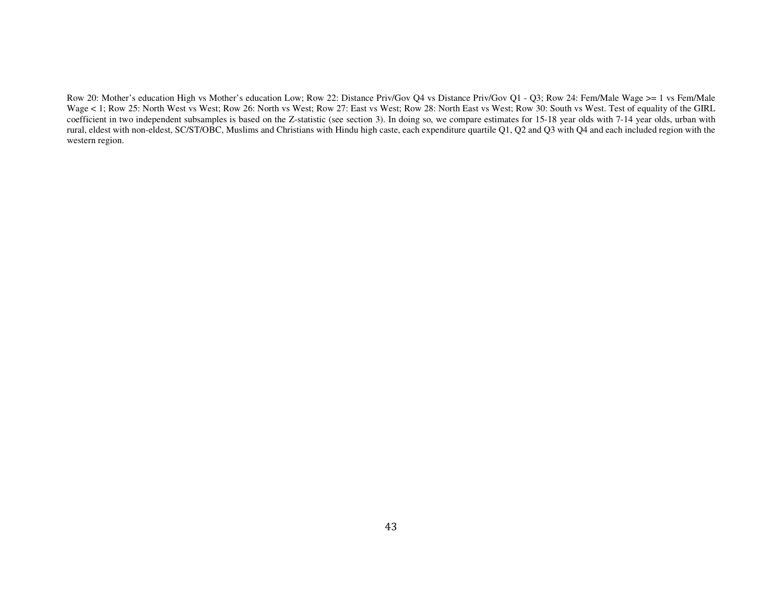Row 20: Mother's education High vs Mother's education Low; Row 22: Distance Priv/Gov Q4 vs Distance Priv/Gov Q1 - Q3; Row 24: Fem/Male Wage >= 1 vs Fem/Male Wage < 1; Row 25: North West vs West; Row 26: North vs West; Row 27: East vs West; Row 28: North East vs West; Row 30: South vs West. Test of equality of the GIRL coefficient in two independent subsamples is based on the Z-statistic (see section 3). In doing so, we compare estimates for 15-18 year olds with 7-14 year olds, urban with rural, eldest with non-eldest, SC/ST/OBC, Muslims and Christians with Hindu high caste, each expenditure quartile Q1, Q2 and Q3 with Q4 and each included region with the western region.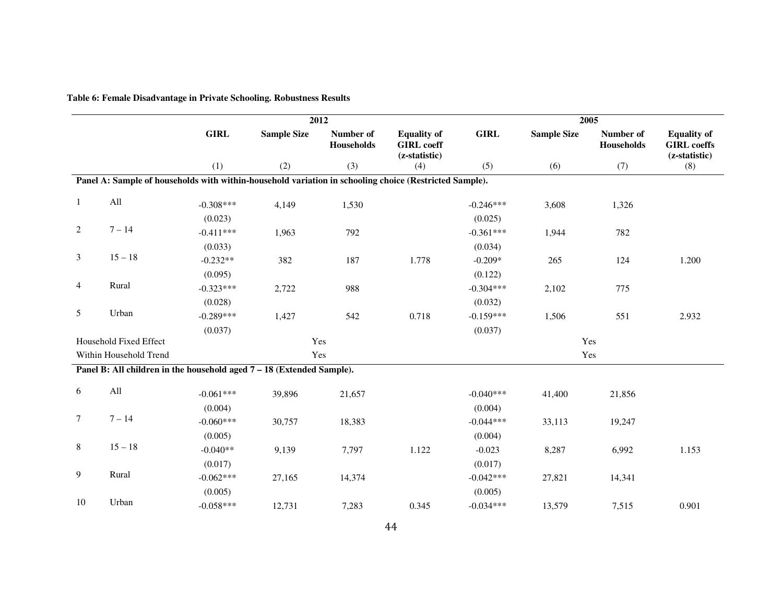| Table 6: Female Disadvantage in Private Schooling. Robustness Results |  |  |  |  |
|-----------------------------------------------------------------------|--|--|--|--|
|-----------------------------------------------------------------------|--|--|--|--|

|        |                                                                                                        |             |                    | 2012                           |                                                          |             |                    | 2005                           |                                                           |
|--------|--------------------------------------------------------------------------------------------------------|-------------|--------------------|--------------------------------|----------------------------------------------------------|-------------|--------------------|--------------------------------|-----------------------------------------------------------|
|        |                                                                                                        | <b>GIRL</b> | <b>Sample Size</b> | Number of<br><b>Households</b> | <b>Equality of</b><br><b>GIRL</b> coeff<br>(z-statistic) | <b>GIRL</b> | <b>Sample Size</b> | Number of<br><b>Households</b> | <b>Equality of</b><br><b>GIRL</b> coeffs<br>(z-statistic) |
|        |                                                                                                        | (1)         | (2)                | (3)                            | (4)                                                      | (5)         | (6)                | (7)                            | (8)                                                       |
|        | Panel A: Sample of households with within-household variation in schooling choice (Restricted Sample). |             |                    |                                |                                                          |             |                    |                                |                                                           |
| 1      | All                                                                                                    | $-0.308***$ | 4,149              | 1,530                          |                                                          | $-0.246***$ | 3,608              | 1,326                          |                                                           |
|        |                                                                                                        | (0.023)     |                    |                                |                                                          | (0.025)     |                    |                                |                                                           |
| 2      | $7 - 14$                                                                                               | $-0.411***$ | 1,963              | 792                            |                                                          | $-0.361***$ | 1,944              | 782                            |                                                           |
|        |                                                                                                        | (0.033)     |                    |                                |                                                          | (0.034)     |                    |                                |                                                           |
| 3      | $15 - 18$                                                                                              | $-0.232**$  | 382                | 187                            | 1.778                                                    | $-0.209*$   | 265                | 124                            | 1.200                                                     |
|        |                                                                                                        | (0.095)     |                    |                                |                                                          | (0.122)     |                    |                                |                                                           |
| 4      | Rural                                                                                                  | $-0.323***$ | 2,722              | 988                            |                                                          | $-0.304***$ | 2,102              | 775                            |                                                           |
|        |                                                                                                        | (0.028)     |                    |                                |                                                          | (0.032)     |                    |                                |                                                           |
| 5      | Urban                                                                                                  | $-0.289***$ | 1,427              | 542                            | 0.718                                                    | $-0.159***$ | 1,506              | 551                            | 2.932                                                     |
|        |                                                                                                        | (0.037)     |                    |                                |                                                          | (0.037)     |                    |                                |                                                           |
|        | Household Fixed Effect                                                                                 |             |                    | Yes                            |                                                          |             |                    | Yes                            |                                                           |
|        | Within Household Trend                                                                                 |             |                    | Yes                            |                                                          |             |                    | Yes                            |                                                           |
|        | Panel B: All children in the household aged 7 - 18 (Extended Sample).                                  |             |                    |                                |                                                          |             |                    |                                |                                                           |
| 6      | $\mathop{\rm All}\nolimits$                                                                            | $-0.061***$ | 39,896             | 21,657                         |                                                          | $-0.040***$ | 41,400             | 21,856                         |                                                           |
|        |                                                                                                        | (0.004)     |                    |                                |                                                          | (0.004)     |                    |                                |                                                           |
| $\tau$ | $7 - 14$                                                                                               | $-0.060***$ | 30,757             | 18,383                         |                                                          | $-0.044***$ | 33,113             | 19,247                         |                                                           |
|        |                                                                                                        | (0.005)     |                    |                                |                                                          | (0.004)     |                    |                                |                                                           |
| 8      | $15 - 18$                                                                                              | $-0.040**$  | 9,139              | 7,797                          | 1.122                                                    | $-0.023$    | 8,287              | 6,992                          | 1.153                                                     |
|        |                                                                                                        | (0.017)     |                    |                                |                                                          | (0.017)     |                    |                                |                                                           |
| 9      | Rural                                                                                                  | $-0.062***$ | 27,165             | 14,374                         |                                                          | $-0.042***$ | 27,821             | 14,341                         |                                                           |
|        |                                                                                                        | (0.005)     |                    |                                |                                                          | (0.005)     |                    |                                |                                                           |
| 10     | Urban                                                                                                  | $-0.058***$ | 12,731             | 7,283                          | 0.345                                                    | $-0.034***$ | 13,579             | 7,515                          | 0.901                                                     |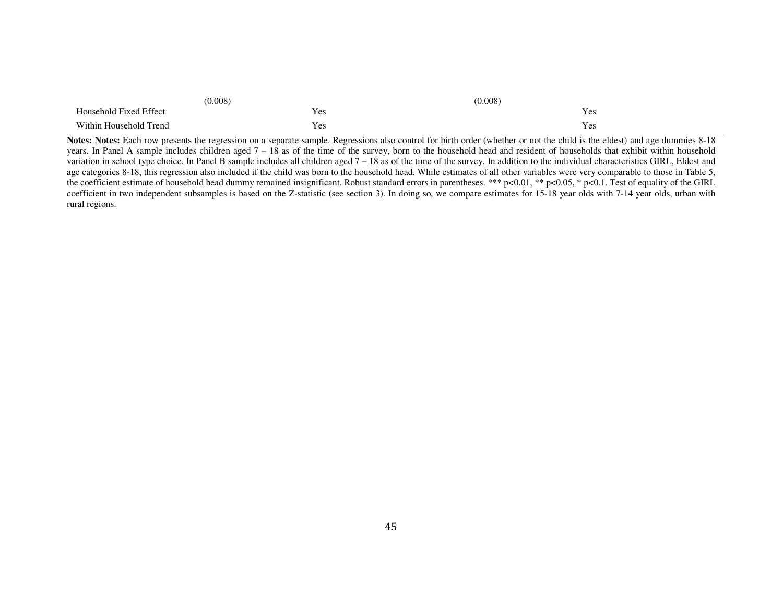|                        | (0.008) | (0.008) |
|------------------------|---------|---------|
| Household Fixed Effect | Yes     | Yes     |
| Within Household Trend | Yes     | Yes     |

Notes: Notes: Each row presents the regression on a separate sample. Regressions also control for birth order (whether or not the child is the eldest) and age dummies 8-18 years. In Panel A sample includes children aged 7 – 18 as of the time of the survey, born to the household head and resident of households that exhibit within household variation in school type choice. In Panel B sample includes all children aged 7 – 18 as of the time of the survey. In addition to the individual characteristics GIRL, Eldest and age categories 8-18, this regression also included if the child was born to the household head. While estimates of all other variables were very comparable to those in Table 5, the coefficient estimate of household head dummy remained insignificant. Robust standard errors in parentheses. \*\*\* p<0.01, \*\* p<0.05, \* p<0.1. Test of equality of the GIRL coefficient in two independent subsamples is based on the Z-statistic (see section 3). In doing so, we compare estimates for 15-18 year olds with 7-14 year olds, urban with rural regions.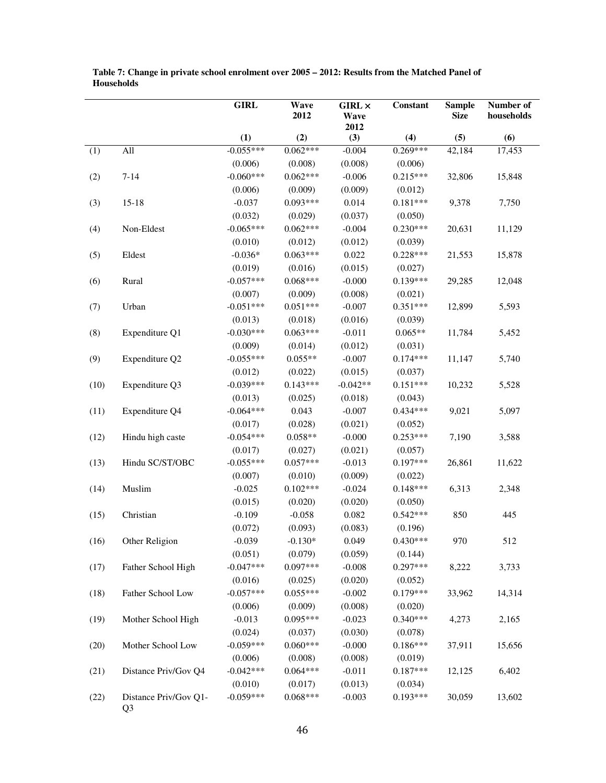|      |                                         | <b>GIRL</b> | Wave<br>2012 | <b>GIRL</b> x<br>Wave<br>2012 | Constant   | <b>Sample</b><br><b>Size</b> | Number of<br>households |
|------|-----------------------------------------|-------------|--------------|-------------------------------|------------|------------------------------|-------------------------|
|      |                                         | (1)         | (2)          | (3)                           | (4)        | (5)                          | (6)                     |
| (1)  | All                                     | $-0.055***$ | $0.062***$   | $-0.004$                      | $0.269***$ | 42,184                       | 17,453                  |
|      |                                         | (0.006)     | (0.008)      | (0.008)                       | (0.006)    |                              |                         |
| (2)  | $7 - 14$                                | $-0.060***$ | $0.062***$   | $-0.006$                      | $0.215***$ | 32,806                       | 15,848                  |
|      |                                         | (0.006)     | (0.009)      | (0.009)                       | (0.012)    |                              |                         |
| (3)  | $15 - 18$                               | $-0.037$    | $0.093***$   | 0.014                         | $0.181***$ | 9,378                        | 7,750                   |
|      |                                         | (0.032)     | (0.029)      | (0.037)                       | (0.050)    |                              |                         |
| (4)  | Non-Eldest                              | $-0.065***$ | $0.062***$   | $-0.004$                      | $0.230***$ | 20,631                       | 11,129                  |
|      |                                         | (0.010)     | (0.012)      | (0.012)                       | (0.039)    |                              |                         |
| (5)  | Eldest                                  | $-0.036*$   | $0.063***$   | 0.022                         | $0.228***$ | 21,553                       | 15,878                  |
|      |                                         | (0.019)     | (0.016)      | (0.015)                       | (0.027)    |                              |                         |
| (6)  | Rural                                   | $-0.057***$ | $0.068***$   | $-0.000$                      | $0.139***$ | 29,285                       | 12,048                  |
|      |                                         | (0.007)     | (0.009)      | (0.008)                       | (0.021)    |                              |                         |
| (7)  | Urban                                   | $-0.051***$ | $0.051***$   | $-0.007$                      | $0.351***$ | 12,899                       | 5,593                   |
|      |                                         | (0.013)     | (0.018)      | (0.016)                       | (0.039)    |                              |                         |
| (8)  | Expenditure Q1                          | $-0.030***$ | $0.063***$   | $-0.011$                      | $0.065**$  | 11,784                       | 5,452                   |
|      |                                         | (0.009)     | (0.014)      | (0.012)                       | (0.031)    |                              |                         |
| (9)  | Expenditure Q2                          | $-0.055***$ | $0.055**$    | $-0.007$                      | $0.174***$ | 11,147                       | 5,740                   |
|      |                                         | (0.012)     | (0.022)      | (0.015)                       | (0.037)    |                              |                         |
| (10) | Expenditure Q3                          | $-0.039***$ | $0.143***$   | $-0.042**$                    | $0.151***$ | 10,232                       | 5,528                   |
|      |                                         | (0.013)     | (0.025)      | (0.018)                       | (0.043)    |                              |                         |
| (11) | Expenditure Q4                          | $-0.064***$ | 0.043        | $-0.007$                      | $0.434***$ | 9,021                        | 5,097                   |
|      |                                         | (0.017)     | (0.028)      | (0.021)                       | (0.052)    |                              |                         |
| (12) | Hindu high caste                        | $-0.054***$ | $0.058**$    | $-0.000$                      | $0.253***$ | 7,190                        | 3,588                   |
|      |                                         | (0.017)     | (0.027)      | (0.021)                       | (0.057)    |                              |                         |
| (13) | Hindu SC/ST/OBC                         | $-0.055***$ | $0.057***$   | $-0.013$                      | $0.197***$ | 26,861                       | 11,622                  |
|      |                                         | (0.007)     | (0.010)      | (0.009)                       | (0.022)    |                              |                         |
| (14) | Muslim                                  | $-0.025$    | $0.102***$   | $-0.024$                      | $0.148***$ | 6,313                        | 2,348                   |
|      |                                         | (0.015)     | (0.020)      | (0.020)                       | (0.050)    |                              |                         |
| (15) | Christian                               | $-0.109$    | $-0.058$     | 0.082                         | $0.542***$ | 850                          | 445                     |
|      |                                         | (0.072)     | (0.093)      | (0.083)                       | (0.196)    |                              |                         |
| (16) | Other Religion                          | $-0.039$    | $-0.130*$    | 0.049                         | $0.430***$ | 970                          | 512                     |
|      |                                         | (0.051)     | (0.079)      | (0.059)                       | (0.144)    |                              |                         |
| (17) | Father School High                      | $-0.047***$ | $0.097***$   | $-0.008$                      | $0.297***$ | 8,222                        | 3,733                   |
|      |                                         | (0.016)     | (0.025)      | (0.020)                       | (0.052)    |                              |                         |
| (18) | Father School Low                       | $-0.057***$ | $0.055***$   | $-0.002$                      | $0.179***$ | 33,962                       | 14,314                  |
|      |                                         | (0.006)     | (0.009)      | (0.008)                       | (0.020)    |                              |                         |
| (19) | Mother School High                      | $-0.013$    | $0.095***$   | $-0.023$                      | $0.340***$ | 4,273                        | 2,165                   |
|      |                                         | (0.024)     | (0.037)      | (0.030)                       | (0.078)    |                              |                         |
| (20) | Mother School Low                       | $-0.059***$ | $0.060***$   | $-0.000$                      | $0.186***$ | 37,911                       | 15,656                  |
|      |                                         | (0.006)     | (0.008)      | (0.008)                       | (0.019)    |                              |                         |
| (21) | Distance Priv/Gov Q4                    | $-0.042***$ | $0.064***$   | $-0.011$                      | $0.187***$ | 12,125                       | 6,402                   |
|      |                                         | (0.010)     | (0.017)      | (0.013)                       | (0.034)    |                              |                         |
| (22) | Distance Priv/Gov Q1-<br>Q <sub>3</sub> | $-0.059***$ | $0.068***$   | $-0.003$                      | $0.193***$ | 30,059                       | 13,602                  |

**Table 7: Change in private school enrolment over 2005 – 2012: Results from the Matched Panel of Households**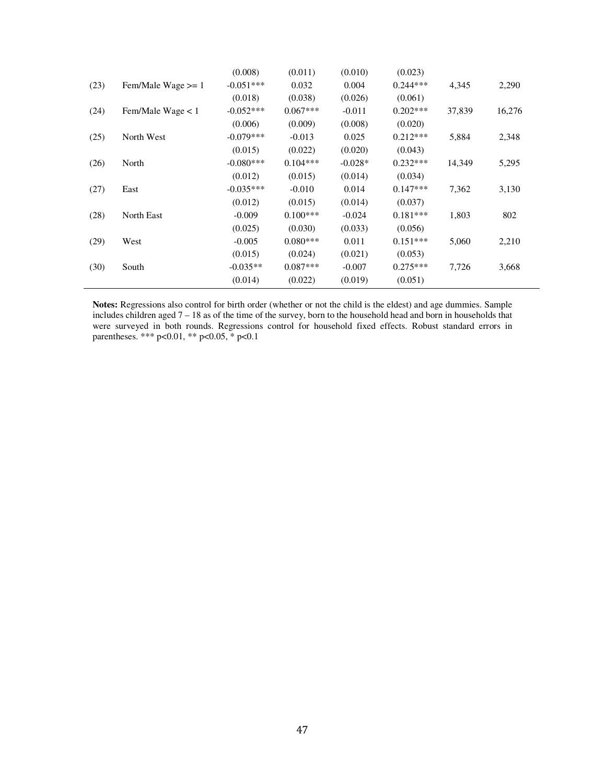|      |                      | (0.008)     | (0.011)    | (0.010)   | (0.023)    |        |        |
|------|----------------------|-------------|------------|-----------|------------|--------|--------|
| (23) | Fem/Male Wage $>= 1$ | $-0.051***$ | 0.032      | 0.004     | $0.244***$ | 4,345  | 2,290  |
|      |                      | (0.018)     | (0.038)    | (0.026)   | (0.061)    |        |        |
| (24) | Fem/Male Wage < 1    | $-0.052***$ | $0.067***$ | $-0.011$  | $0.202***$ | 37.839 | 16,276 |
|      |                      | (0.006)     | (0.009)    | (0.008)   | (0.020)    |        |        |
| (25) | North West           | $-0.079***$ | $-0.013$   | 0.025     | $0.212***$ | 5,884  | 2,348  |
|      |                      | (0.015)     | (0.022)    | (0.020)   | (0.043)    |        |        |
| (26) | North                | $-0.080***$ | $0.104***$ | $-0.028*$ | $0.232***$ | 14,349 | 5,295  |
|      |                      | (0.012)     | (0.015)    | (0.014)   | (0.034)    |        |        |
| (27) | East                 | $-0.035***$ | $-0.010$   | 0.014     | $0.147***$ | 7,362  | 3,130  |
|      |                      | (0.012)     | (0.015)    | (0.014)   | (0.037)    |        |        |
| (28) | North East           | $-0.009$    | $0.100***$ | $-0.024$  | $0.181***$ | 1,803  | 802    |
|      |                      | (0.025)     | (0.030)    | (0.033)   | (0.056)    |        |        |
| (29) | West                 | $-0.005$    | $0.080***$ | 0.011     | $0.151***$ | 5,060  | 2,210  |
|      |                      | (0.015)     | (0.024)    | (0.021)   | (0.053)    |        |        |
| (30) | South                | $-0.035**$  | $0.087***$ | $-0.007$  | $0.275***$ | 7,726  | 3,668  |
|      |                      | (0.014)     | (0.022)    | (0.019)   | (0.051)    |        |        |

**Notes:** Regressions also control for birth order (whether or not the child is the eldest) and age dummies. Sample includes children aged 7 – 18 as of the time of the survey, born to the household head and born in households that were surveyed in both rounds. Regressions control for household fixed effects. Robust standard errors in parentheses. \*\*\* p<0.01, \*\* p<0.05, \* p<0.1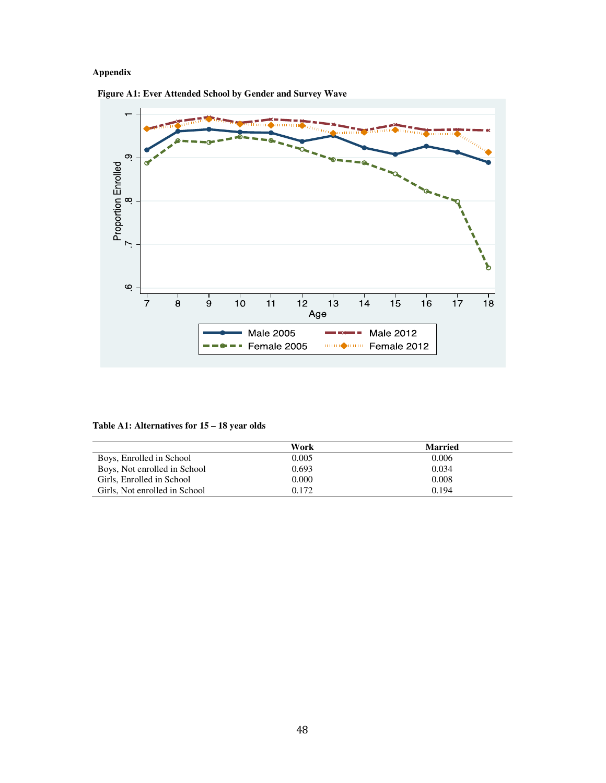### **Appendix**



**Figure A1: Ever Attended School by Gender and Survey Wave** 

**Table A1: Alternatives for 15 – 18 year olds** 

|                               | Work  | Married |
|-------------------------------|-------|---------|
| Boys, Enrolled in School      | 0.005 | 0.006   |
| Boys, Not enrolled in School  | 0.693 | 0.034   |
| Girls, Enrolled in School     | 0.000 | 0.008   |
| Girls. Not enrolled in School | 0.172 | 0.194   |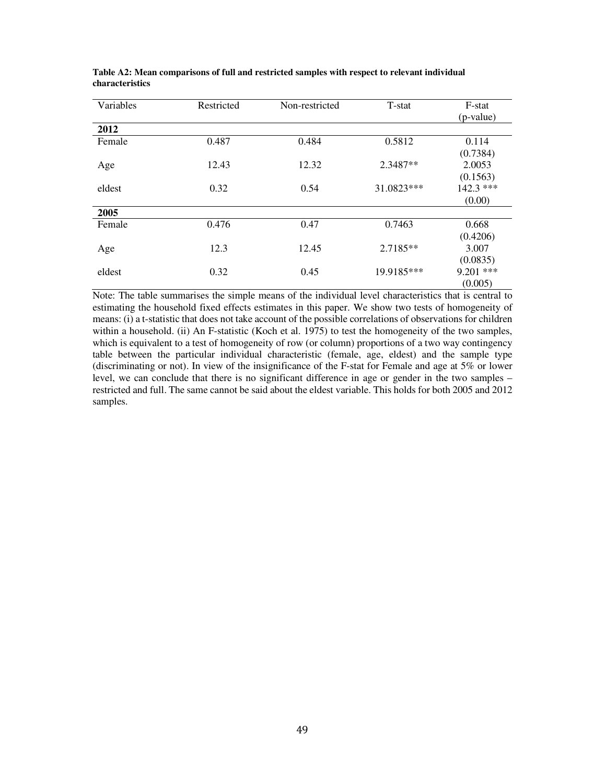| Variables | Restricted | Non-restricted | T-stat     | F-stat<br>(p-value) |
|-----------|------------|----------------|------------|---------------------|
| 2012      |            |                |            |                     |
| Female    | 0.487      | 0.484          | 0.5812     | 0.114               |
|           |            |                |            | (0.7384)            |
| Age       | 12.43      | 12.32          | 2.3487**   | 2.0053              |
|           |            |                |            | (0.1563)            |
| eldest    | 0.32       | 0.54           | 31.0823*** | $142.3$ ***         |
|           |            |                |            | (0.00)              |
| 2005      |            |                |            |                     |
| Female    | 0.476      | 0.47           | 0.7463     | 0.668               |
|           |            |                |            | (0.4206)            |
| Age       | 12.3       | 12.45          | 2.7185**   | 3.007               |
|           |            |                |            | (0.0835)            |
| eldest    | 0.32       | 0.45           | 19.9185*** | $9.201$ ***         |
|           |            |                |            | (0.005)             |

**Table A2: Mean comparisons of full and restricted samples with respect to relevant individual characteristics** 

Note: The table summarises the simple means of the individual level characteristics that is central to estimating the household fixed effects estimates in this paper. We show two tests of homogeneity of means: (i) a t-statistic that does not take account of the possible correlations of observations for children within a household. (ii) An F-statistic (Koch et al. 1975) to test the homogeneity of the two samples, which is equivalent to a test of homogeneity of row (or column) proportions of a two way contingency table between the particular individual characteristic (female, age, eldest) and the sample type (discriminating or not). In view of the insignificance of the F-stat for Female and age at 5% or lower level, we can conclude that there is no significant difference in age or gender in the two samples – restricted and full. The same cannot be said about the eldest variable. This holds for both 2005 and 2012 samples.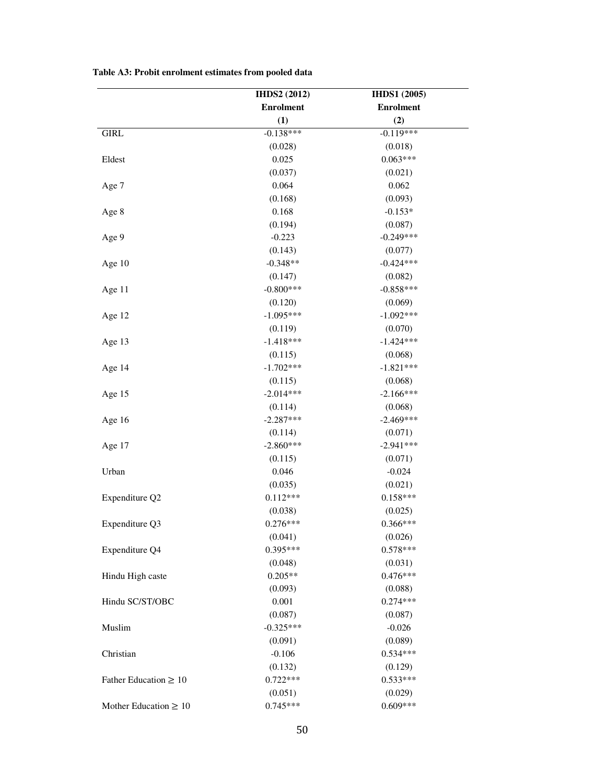|                            | <b>IHDS2 (2012)</b>    | <b>IHDS1 (2005)</b>    |
|----------------------------|------------------------|------------------------|
|                            | <b>Enrolment</b>       | <b>Enrolment</b>       |
|                            | (1)                    | (2)                    |
| <b>GIRL</b>                | $-0.138***$            | $-0.119***$            |
|                            | (0.028)                | (0.018)                |
| Eldest                     | 0.025                  | $0.063***$             |
|                            | (0.037)                | (0.021)                |
| Age 7                      | 0.064                  | 0.062                  |
|                            | (0.168)                | (0.093)                |
| Age 8                      | 0.168                  | $-0.153*$              |
|                            | (0.194)                | (0.087)                |
| Age 9                      | $-0.223$               | $-0.249***$            |
|                            | (0.143)                | (0.077)                |
| Age 10                     | $-0.348**$             | $-0.424***$            |
|                            | (0.147)                | (0.082)                |
| Age 11                     | $-0.800***$            | $-0.858***$            |
|                            | (0.120)                | (0.069)                |
| Age 12                     | $-1.095***$            | $-1.092***$            |
|                            | (0.119)                | (0.070)                |
| Age 13                     | $-1.418***$            | $-1.424***$            |
|                            | (0.115)                | (0.068)                |
|                            | $-1.702***$            | $-1.821***$            |
| Age 14                     |                        |                        |
|                            | (0.115)<br>$-2.014***$ | (0.068)<br>$-2.166***$ |
| Age 15                     |                        |                        |
|                            | (0.114)                | (0.068)                |
| Age 16                     | $-2.287***$            | $-2.469***$            |
|                            | (0.114)                | (0.071)                |
| Age 17                     | $-2.860***$            | $-2.941***$            |
|                            | (0.115)                | (0.071)                |
| Urban                      | 0.046                  | $-0.024$               |
|                            | (0.035)                | (0.021)                |
| Expenditure Q2             | $0.112***$             | $0.158***$             |
|                            | (0.038)                | (0.025)                |
| Expenditure Q3             | $0.276***$             | $0.366***$             |
|                            | (0.041)                | (0.026)                |
| Expenditure Q4             | 0.395***               | $0.578***$             |
|                            | (0.048)                | (0.031)                |
| Hindu High caste           | $0.205**$              | $0.476***$             |
|                            | (0.093)                | (0.088)                |
| Hindu SC/ST/OBC            | 0.001                  | $0.274***$             |
|                            | (0.087)                | (0.087)                |
| Muslim                     | $-0.325***$            | $-0.026$               |
|                            | (0.091)                | (0.089)                |
| Christian                  | $-0.106$               | $0.534***$             |
|                            | (0.132)                | (0.129)                |
| Father Education $\geq 10$ | $0.722***$             | $0.533***$             |
|                            | (0.051)                | (0.029)                |
| Mother Education $\geq 10$ | $0.745***$             | $0.609***$             |

**Table A3: Probit enrolment estimates from pooled data**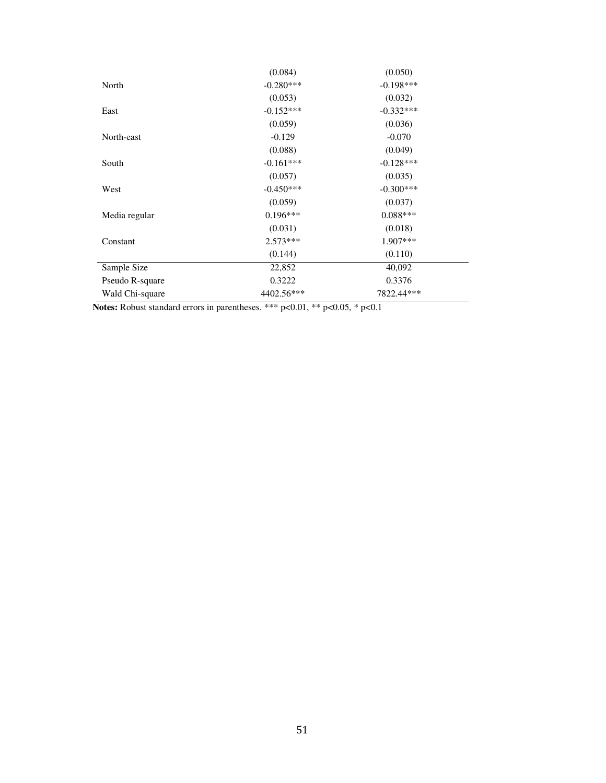| $-0.198***$<br>$-0.280***$<br>North<br>(0.053)<br>(0.032)<br>$-0.152***$<br>$-0.332***$<br>East<br>(0.059)<br>(0.036) |
|-----------------------------------------------------------------------------------------------------------------------|
|                                                                                                                       |
|                                                                                                                       |
|                                                                                                                       |
|                                                                                                                       |
| $-0.070$<br>$-0.129$<br>North-east                                                                                    |
| (0.088)<br>(0.049)                                                                                                    |
| $-0.128***$<br>$-0.161***$<br>South                                                                                   |
| (0.057)<br>(0.035)                                                                                                    |
| $-0.450***$<br>$-0.300***$<br>West                                                                                    |
| (0.059)<br>(0.037)                                                                                                    |
| $0.196***$<br>$0.088***$<br>Media regular                                                                             |
| (0.031)<br>(0.018)                                                                                                    |
| $2.573***$<br>$1.907***$<br>Constant                                                                                  |
| (0.110)<br>(0.144)                                                                                                    |
| Sample Size<br>22,852<br>40,092                                                                                       |
| 0.3222<br>0.3376<br>Pseudo R-square                                                                                   |
| 4402.56***<br>7822.44***<br>Wald Chi-square                                                                           |

Notes: Robust standard errors in parentheses. \*\*\* p<0.01, \*\* p<0.05, \* p<0.1